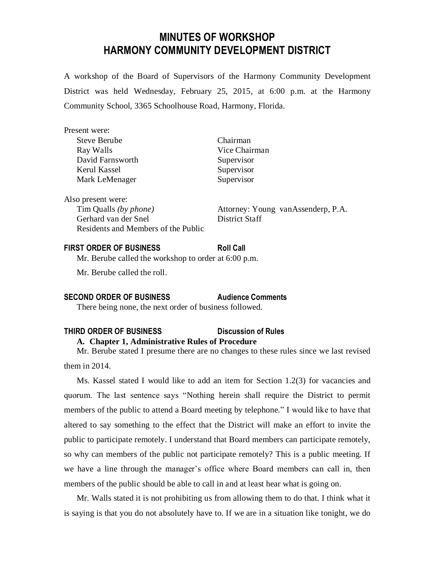# **MINUTES OF WORKSHOP HARMONY COMMUNITY DEVELOPMENT DISTRICT**

A workshop of the Board of Supervisors of the Harmony Community Development District was held Wednesday, February 25, 2015, at 6:00 p.m. at the Harmony Community School, 3365 Schoolhouse Road, Harmony, Florida.

| Present were:                       |                                     |
|-------------------------------------|-------------------------------------|
| <b>Steve Berube</b>                 | Chairman                            |
| Ray Walls                           | Vice Chairman                       |
| David Farnsworth                    | Supervisor                          |
| Kerul Kassel                        | Supervisor                          |
| Mark LeMenager                      | Supervisor                          |
| Also present were:                  |                                     |
| Tim Qualls (by phone)               | Attorney: Young van Assenderp, P.A. |
| Gerhard van der Snel                | District Staff                      |
| Residents and Members of the Public |                                     |

# **FIRST ORDER OF BUSINESS Roll Call**

Mr. Berube called the workshop to order at 6:00 p.m.

Mr. Berube called the roll.

## **SECOND ORDER OF BUSINESS Audience Comments**

There being none, the next order of business followed.

#### **THIRD ORDER OF BUSINESS Discussion of Rules**

## **A. Chapter 1, Administrative Rules of Procedure**

Mr. Berube stated I presume there are no changes to these rules since we last revised them in 2014.

Ms. Kassel stated I would like to add an item for Section 1.2(3) for vacancies and quorum. The last sentence says "Nothing herein shall require the District to permit members of the public to attend a Board meeting by telephone." I would like to have that altered to say something to the effect that the District will make an effort to invite the public to participate remotely. I understand that Board members can participate remotely, so why can members of the public not participate remotely? This is a public meeting. If we have a line through the manager's office where Board members can call in, then members of the public should be able to call in and at least hear what is going on.

Mr. Walls stated it is not prohibiting us from allowing them to do that. I think what it is saying is that you do not absolutely have to. If we are in a situation like tonight, we do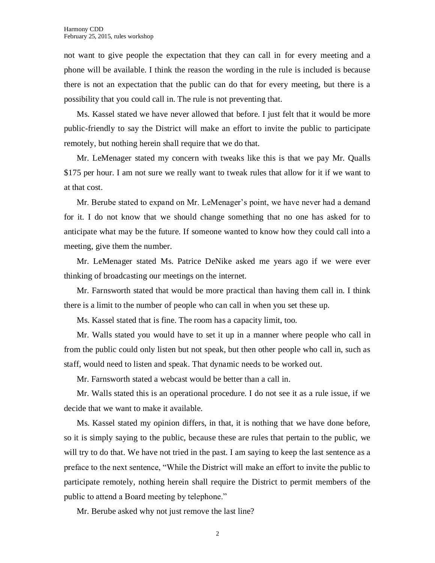not want to give people the expectation that they can call in for every meeting and a phone will be available. I think the reason the wording in the rule is included is because there is not an expectation that the public can do that for every meeting, but there is a possibility that you could call in. The rule is not preventing that.

Ms. Kassel stated we have never allowed that before. I just felt that it would be more public-friendly to say the District will make an effort to invite the public to participate remotely, but nothing herein shall require that we do that.

Mr. LeMenager stated my concern with tweaks like this is that we pay Mr. Qualls \$175 per hour. I am not sure we really want to tweak rules that allow for it if we want to at that cost.

Mr. Berube stated to expand on Mr. LeMenager's point, we have never had a demand for it. I do not know that we should change something that no one has asked for to anticipate what may be the future. If someone wanted to know how they could call into a meeting, give them the number.

Mr. LeMenager stated Ms. Patrice DeNike asked me years ago if we were ever thinking of broadcasting our meetings on the internet.

Mr. Farnsworth stated that would be more practical than having them call in. I think there is a limit to the number of people who can call in when you set these up.

Ms. Kassel stated that is fine. The room has a capacity limit, too.

Mr. Walls stated you would have to set it up in a manner where people who call in from the public could only listen but not speak, but then other people who call in, such as staff, would need to listen and speak. That dynamic needs to be worked out.

Mr. Farnsworth stated a webcast would be better than a call in.

Mr. Walls stated this is an operational procedure. I do not see it as a rule issue, if we decide that we want to make it available.

Ms. Kassel stated my opinion differs, in that, it is nothing that we have done before, so it is simply saying to the public, because these are rules that pertain to the public, we will try to do that. We have not tried in the past. I am saying to keep the last sentence as a preface to the next sentence, "While the District will make an effort to invite the public to participate remotely, nothing herein shall require the District to permit members of the public to attend a Board meeting by telephone."

Mr. Berube asked why not just remove the last line?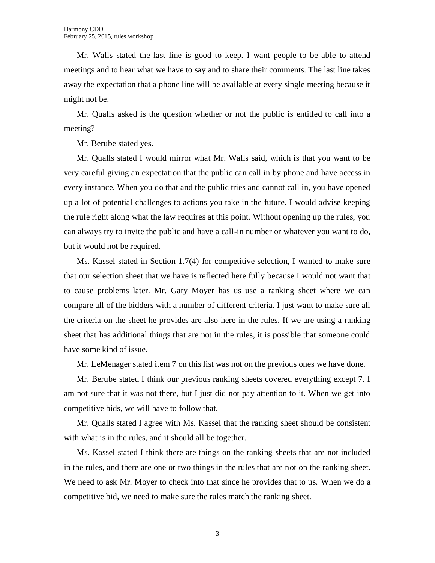Mr. Walls stated the last line is good to keep. I want people to be able to attend meetings and to hear what we have to say and to share their comments. The last line takes away the expectation that a phone line will be available at every single meeting because it might not be.

Mr. Qualls asked is the question whether or not the public is entitled to call into a meeting?

Mr. Berube stated yes.

Mr. Qualls stated I would mirror what Mr. Walls said, which is that you want to be very careful giving an expectation that the public can call in by phone and have access in every instance. When you do that and the public tries and cannot call in, you have opened up a lot of potential challenges to actions you take in the future. I would advise keeping the rule right along what the law requires at this point. Without opening up the rules, you can always try to invite the public and have a call-in number or whatever you want to do, but it would not be required.

Ms. Kassel stated in Section 1.7(4) for competitive selection, I wanted to make sure that our selection sheet that we have is reflected here fully because I would not want that to cause problems later. Mr. Gary Moyer has us use a ranking sheet where we can compare all of the bidders with a number of different criteria. I just want to make sure all the criteria on the sheet he provides are also here in the rules. If we are using a ranking sheet that has additional things that are not in the rules, it is possible that someone could have some kind of issue.

Mr. LeMenager stated item 7 on this list was not on the previous ones we have done.

Mr. Berube stated I think our previous ranking sheets covered everything except 7. I am not sure that it was not there, but I just did not pay attention to it. When we get into competitive bids, we will have to follow that.

Mr. Qualls stated I agree with Ms. Kassel that the ranking sheet should be consistent with what is in the rules, and it should all be together.

Ms. Kassel stated I think there are things on the ranking sheets that are not included in the rules, and there are one or two things in the rules that are not on the ranking sheet. We need to ask Mr. Moyer to check into that since he provides that to us. When we do a competitive bid, we need to make sure the rules match the ranking sheet.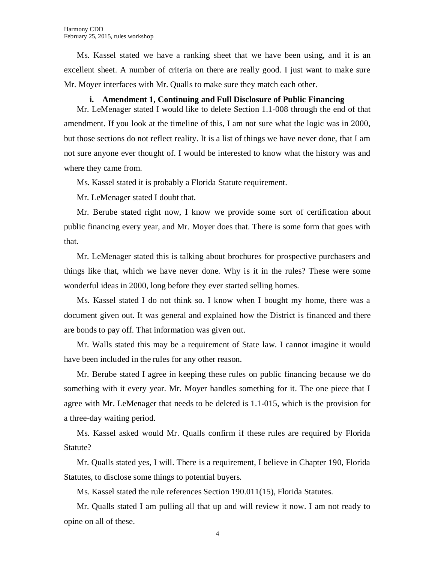Ms. Kassel stated we have a ranking sheet that we have been using, and it is an excellent sheet. A number of criteria on there are really good. I just want to make sure Mr. Moyer interfaces with Mr. Qualls to make sure they match each other.

#### **i. Amendment 1, Continuing and Full Disclosure of Public Financing**

Mr. LeMenager stated I would like to delete Section 1.1-008 through the end of that amendment. If you look at the timeline of this, I am not sure what the logic was in 2000, but those sections do not reflect reality. It is a list of things we have never done, that I am not sure anyone ever thought of. I would be interested to know what the history was and where they came from.

Ms. Kassel stated it is probably a Florida Statute requirement.

Mr. LeMenager stated I doubt that.

Mr. Berube stated right now, I know we provide some sort of certification about public financing every year, and Mr. Moyer does that. There is some form that goes with that.

Mr. LeMenager stated this is talking about brochures for prospective purchasers and things like that, which we have never done. Why is it in the rules? These were some wonderful ideas in 2000, long before they ever started selling homes.

Ms. Kassel stated I do not think so. I know when I bought my home, there was a document given out. It was general and explained how the District is financed and there are bonds to pay off. That information was given out.

Mr. Walls stated this may be a requirement of State law. I cannot imagine it would have been included in the rules for any other reason.

Mr. Berube stated I agree in keeping these rules on public financing because we do something with it every year. Mr. Moyer handles something for it. The one piece that I agree with Mr. LeMenager that needs to be deleted is 1.1-015, which is the provision for a three-day waiting period.

Ms. Kassel asked would Mr. Qualls confirm if these rules are required by Florida Statute?

Mr. Qualls stated yes, I will. There is a requirement, I believe in Chapter 190, Florida Statutes, to disclose some things to potential buyers.

Ms. Kassel stated the rule references Section 190.011(15), Florida Statutes.

Mr. Qualls stated I am pulling all that up and will review it now. I am not ready to opine on all of these.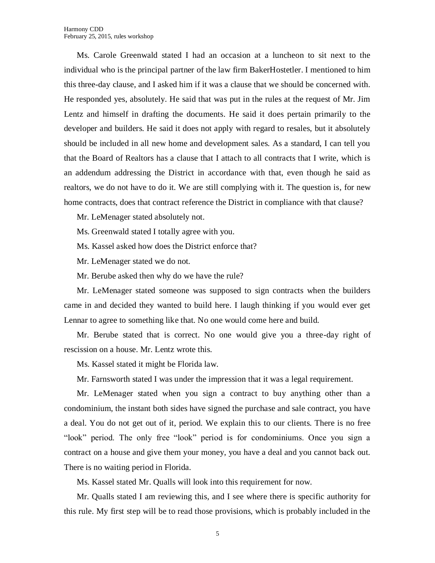Ms. Carole Greenwald stated I had an occasion at a luncheon to sit next to the individual who is the principal partner of the law firm BakerHostetler. I mentioned to him this three-day clause, and I asked him if it was a clause that we should be concerned with. He responded yes, absolutely. He said that was put in the rules at the request of Mr. Jim Lentz and himself in drafting the documents. He said it does pertain primarily to the developer and builders. He said it does not apply with regard to resales, but it absolutely should be included in all new home and development sales. As a standard, I can tell you that the Board of Realtors has a clause that I attach to all contracts that I write, which is an addendum addressing the District in accordance with that, even though he said as realtors, we do not have to do it. We are still complying with it. The question is, for new home contracts, does that contract reference the District in compliance with that clause?

Mr. LeMenager stated absolutely not.

Ms. Greenwald stated I totally agree with you.

Ms. Kassel asked how does the District enforce that?

Mr. LeMenager stated we do not.

Mr. Berube asked then why do we have the rule?

Mr. LeMenager stated someone was supposed to sign contracts when the builders came in and decided they wanted to build here. I laugh thinking if you would ever get Lennar to agree to something like that. No one would come here and build.

Mr. Berube stated that is correct. No one would give you a three-day right of rescission on a house. Mr. Lentz wrote this.

Ms. Kassel stated it might be Florida law.

Mr. Farnsworth stated I was under the impression that it was a legal requirement.

Mr. LeMenager stated when you sign a contract to buy anything other than a condominium, the instant both sides have signed the purchase and sale contract, you have a deal. You do not get out of it, period. We explain this to our clients. There is no free "look" period. The only free "look" period is for condominiums. Once you sign a contract on a house and give them your money, you have a deal and you cannot back out. There is no waiting period in Florida.

Ms. Kassel stated Mr. Qualls will look into this requirement for now.

Mr. Qualls stated I am reviewing this, and I see where there is specific authority for this rule. My first step will be to read those provisions, which is probably included in the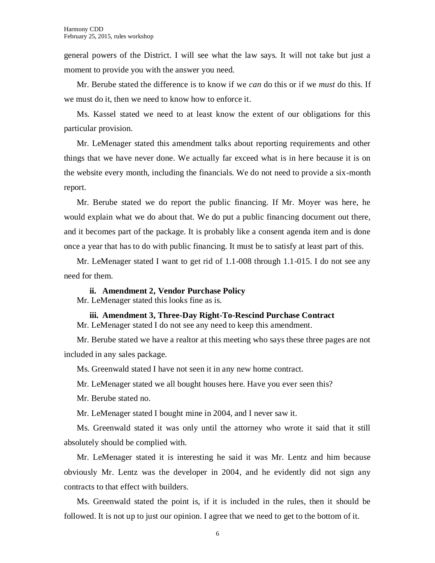general powers of the District. I will see what the law says. It will not take but just a moment to provide you with the answer you need.

Mr. Berube stated the difference is to know if we *can* do this or if we *must* do this. If we must do it, then we need to know how to enforce it.

Ms. Kassel stated we need to at least know the extent of our obligations for this particular provision.

Mr. LeMenager stated this amendment talks about reporting requirements and other things that we have never done. We actually far exceed what is in here because it is on the website every month, including the financials. We do not need to provide a six-month report.

Mr. Berube stated we do report the public financing. If Mr. Moyer was here, he would explain what we do about that. We do put a public financing document out there, and it becomes part of the package. It is probably like a consent agenda item and is done once a year that has to do with public financing. It must be to satisfy at least part of this.

Mr. LeMenager stated I want to get rid of 1.1-008 through 1.1-015. I do not see any need for them.

**ii. Amendment 2, Vendor Purchase Policy**

Mr. LeMenager stated this looks fine as is.

**iii. Amendment 3, Three-Day Right-To-Rescind Purchase Contract**

Mr. LeMenager stated I do not see any need to keep this amendment.

Mr. Berube stated we have a realtor at this meeting who says these three pages are not included in any sales package.

Ms. Greenwald stated I have not seen it in any new home contract.

Mr. LeMenager stated we all bought houses here. Have you ever seen this?

Mr. Berube stated no.

Mr. LeMenager stated I bought mine in 2004, and I never saw it.

Ms. Greenwald stated it was only until the attorney who wrote it said that it still absolutely should be complied with.

Mr. LeMenager stated it is interesting he said it was Mr. Lentz and him because obviously Mr. Lentz was the developer in 2004, and he evidently did not sign any contracts to that effect with builders.

Ms. Greenwald stated the point is, if it is included in the rules, then it should be followed. It is not up to just our opinion. I agree that we need to get to the bottom of it.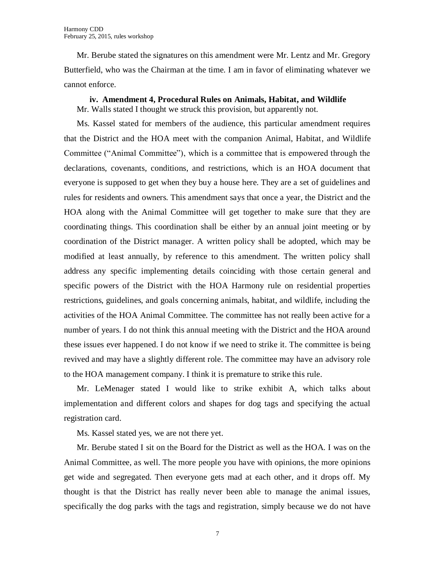Mr. Berube stated the signatures on this amendment were Mr. Lentz and Mr. Gregory Butterfield, who was the Chairman at the time. I am in favor of eliminating whatever we cannot enforce.

**iv. Amendment 4, Procedural Rules on Animals, Habitat, and Wildlife** Mr. Walls stated I thought we struck this provision, but apparently not.

Ms. Kassel stated for members of the audience, this particular amendment requires that the District and the HOA meet with the companion Animal, Habitat, and Wildlife Committee ("Animal Committee"), which is a committee that is empowered through the declarations, covenants, conditions, and restrictions, which is an HOA document that everyone is supposed to get when they buy a house here. They are a set of guidelines and rules for residents and owners. This amendment says that once a year, the District and the HOA along with the Animal Committee will get together to make sure that they are coordinating things. This coordination shall be either by an annual joint meeting or by coordination of the District manager. A written policy shall be adopted, which may be modified at least annually, by reference to this amendment. The written policy shall address any specific implementing details coinciding with those certain general and specific powers of the District with the HOA Harmony rule on residential properties restrictions, guidelines, and goals concerning animals, habitat, and wildlife, including the activities of the HOA Animal Committee. The committee has not really been active for a number of years. I do not think this annual meeting with the District and the HOA around these issues ever happened. I do not know if we need to strike it. The committee is being revived and may have a slightly different role. The committee may have an advisory role to the HOA management company. I think it is premature to strike this rule.

Mr. LeMenager stated I would like to strike exhibit A, which talks about implementation and different colors and shapes for dog tags and specifying the actual registration card.

Ms. Kassel stated yes, we are not there yet.

Mr. Berube stated I sit on the Board for the District as well as the HOA. I was on the Animal Committee, as well. The more people you have with opinions, the more opinions get wide and segregated. Then everyone gets mad at each other, and it drops off. My thought is that the District has really never been able to manage the animal issues, specifically the dog parks with the tags and registration, simply because we do not have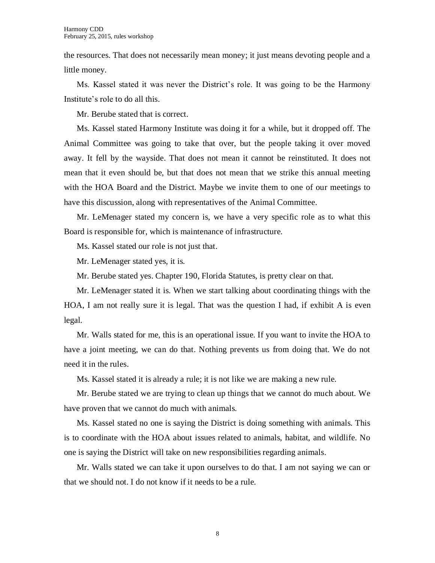the resources. That does not necessarily mean money; it just means devoting people and a little money.

Ms. Kassel stated it was never the District's role. It was going to be the Harmony Institute's role to do all this.

Mr. Berube stated that is correct.

Ms. Kassel stated Harmony Institute was doing it for a while, but it dropped off. The Animal Committee was going to take that over, but the people taking it over moved away. It fell by the wayside. That does not mean it cannot be reinstituted. It does not mean that it even should be, but that does not mean that we strike this annual meeting with the HOA Board and the District. Maybe we invite them to one of our meetings to have this discussion, along with representatives of the Animal Committee.

Mr. LeMenager stated my concern is, we have a very specific role as to what this Board is responsible for, which is maintenance of infrastructure.

Ms. Kassel stated our role is not just that.

Mr. LeMenager stated yes, it is.

Mr. Berube stated yes. Chapter 190, Florida Statutes, is pretty clear on that.

Mr. LeMenager stated it is. When we start talking about coordinating things with the HOA, I am not really sure it is legal. That was the question I had, if exhibit A is even legal.

Mr. Walls stated for me, this is an operational issue. If you want to invite the HOA to have a joint meeting, we can do that. Nothing prevents us from doing that. We do not need it in the rules.

Ms. Kassel stated it is already a rule; it is not like we are making a new rule.

Mr. Berube stated we are trying to clean up things that we cannot do much about. We have proven that we cannot do much with animals.

Ms. Kassel stated no one is saying the District is doing something with animals. This is to coordinate with the HOA about issues related to animals, habitat, and wildlife. No one is saying the District will take on new responsibilities regarding animals.

Mr. Walls stated we can take it upon ourselves to do that. I am not saying we can or that we should not. I do not know if it needs to be a rule.

8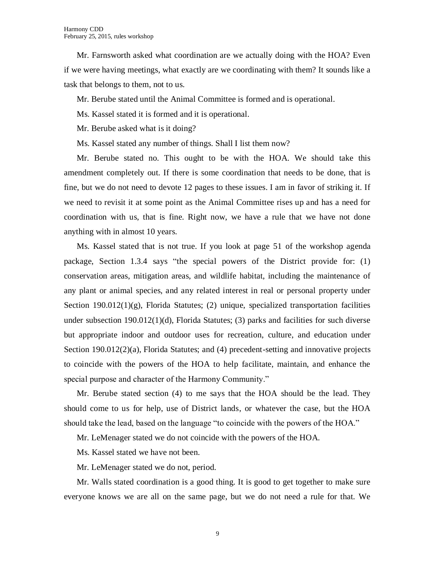Mr. Farnsworth asked what coordination are we actually doing with the HOA? Even if we were having meetings, what exactly are we coordinating with them? It sounds like a task that belongs to them, not to us.

Mr. Berube stated until the Animal Committee is formed and is operational.

Ms. Kassel stated it is formed and it is operational.

Mr. Berube asked what is it doing?

Ms. Kassel stated any number of things. Shall I list them now?

Mr. Berube stated no. This ought to be with the HOA. We should take this amendment completely out. If there is some coordination that needs to be done, that is fine, but we do not need to devote 12 pages to these issues. I am in favor of striking it. If we need to revisit it at some point as the Animal Committee rises up and has a need for coordination with us, that is fine. Right now, we have a rule that we have not done anything with in almost 10 years.

Ms. Kassel stated that is not true. If you look at page 51 of the workshop agenda package, Section 1.3.4 says "the special powers of the District provide for: (1) conservation areas, mitigation areas, and wildlife habitat, including the maintenance of any plant or animal species, and any related interest in real or personal property under Section  $190.012(1)(g)$ , Florida Statutes; (2) unique, specialized transportation facilities under subsection  $190.012(1)(d)$ , Florida Statutes; (3) parks and facilities for such diverse but appropriate indoor and outdoor uses for recreation, culture, and education under Section 190.012(2)(a), Florida Statutes; and (4) precedent-setting and innovative projects to coincide with the powers of the HOA to help facilitate, maintain, and enhance the special purpose and character of the Harmony Community."

Mr. Berube stated section (4) to me says that the HOA should be the lead. They should come to us for help, use of District lands, or whatever the case, but the HOA should take the lead, based on the language "to coincide with the powers of the HOA."

Mr. LeMenager stated we do not coincide with the powers of the HOA.

Ms. Kassel stated we have not been.

Mr. LeMenager stated we do not, period.

Mr. Walls stated coordination is a good thing. It is good to get together to make sure everyone knows we are all on the same page, but we do not need a rule for that. We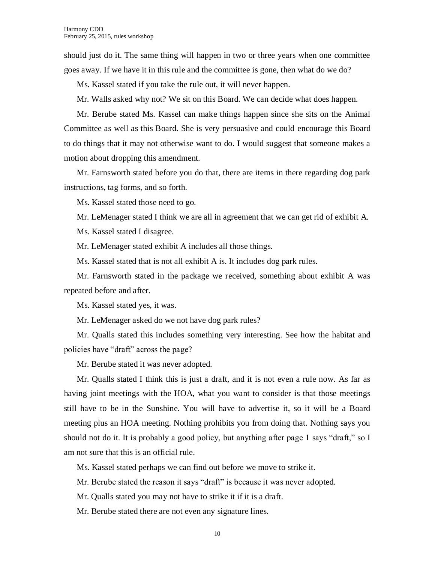should just do it. The same thing will happen in two or three years when one committee goes away. If we have it in this rule and the committee is gone, then what do we do?

Ms. Kassel stated if you take the rule out, it will never happen.

Mr. Walls asked why not? We sit on this Board. We can decide what does happen.

Mr. Berube stated Ms. Kassel can make things happen since she sits on the Animal Committee as well as this Board. She is very persuasive and could encourage this Board to do things that it may not otherwise want to do. I would suggest that someone makes a motion about dropping this amendment.

Mr. Farnsworth stated before you do that, there are items in there regarding dog park instructions, tag forms, and so forth.

Ms. Kassel stated those need to go.

Mr. LeMenager stated I think we are all in agreement that we can get rid of exhibit A.

Ms. Kassel stated I disagree.

Mr. LeMenager stated exhibit A includes all those things.

Ms. Kassel stated that is not all exhibit A is. It includes dog park rules.

Mr. Farnsworth stated in the package we received, something about exhibit A was repeated before and after.

Ms. Kassel stated yes, it was.

Mr. LeMenager asked do we not have dog park rules?

Mr. Qualls stated this includes something very interesting. See how the habitat and policies have "draft" across the page?

Mr. Berube stated it was never adopted.

Mr. Qualls stated I think this is just a draft, and it is not even a rule now. As far as having joint meetings with the HOA, what you want to consider is that those meetings still have to be in the Sunshine. You will have to advertise it, so it will be a Board meeting plus an HOA meeting. Nothing prohibits you from doing that. Nothing says you should not do it. It is probably a good policy, but anything after page 1 says "draft," so I am not sure that this is an official rule.

Ms. Kassel stated perhaps we can find out before we move to strike it.

Mr. Berube stated the reason it says "draft" is because it was never adopted.

Mr. Qualls stated you may not have to strike it if it is a draft.

Mr. Berube stated there are not even any signature lines.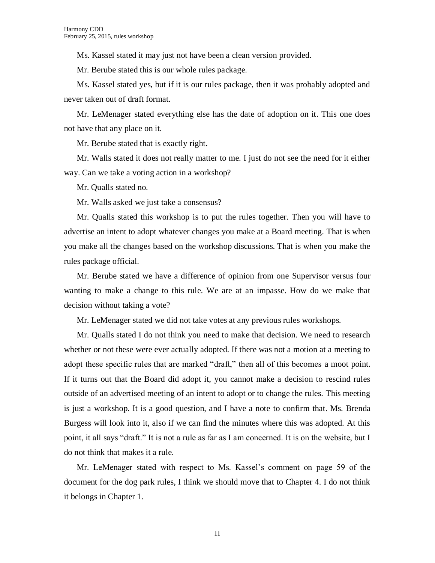Ms. Kassel stated it may just not have been a clean version provided.

Mr. Berube stated this is our whole rules package.

Ms. Kassel stated yes, but if it is our rules package, then it was probably adopted and never taken out of draft format.

Mr. LeMenager stated everything else has the date of adoption on it. This one does not have that any place on it.

Mr. Berube stated that is exactly right.

Mr. Walls stated it does not really matter to me. I just do not see the need for it either way. Can we take a voting action in a workshop?

Mr. Qualls stated no.

Mr. Walls asked we just take a consensus?

Mr. Qualls stated this workshop is to put the rules together. Then you will have to advertise an intent to adopt whatever changes you make at a Board meeting. That is when you make all the changes based on the workshop discussions. That is when you make the rules package official.

Mr. Berube stated we have a difference of opinion from one Supervisor versus four wanting to make a change to this rule. We are at an impasse. How do we make that decision without taking a vote?

Mr. LeMenager stated we did not take votes at any previous rules workshops.

Mr. Qualls stated I do not think you need to make that decision. We need to research whether or not these were ever actually adopted. If there was not a motion at a meeting to adopt these specific rules that are marked "draft," then all of this becomes a moot point. If it turns out that the Board did adopt it, you cannot make a decision to rescind rules outside of an advertised meeting of an intent to adopt or to change the rules. This meeting is just a workshop. It is a good question, and I have a note to confirm that. Ms. Brenda Burgess will look into it, also if we can find the minutes where this was adopted. At this point, it all says "draft." It is not a rule as far as I am concerned. It is on the website, but I do not think that makes it a rule.

Mr. LeMenager stated with respect to Ms. Kassel's comment on page 59 of the document for the dog park rules, I think we should move that to Chapter 4. I do not think it belongs in Chapter 1.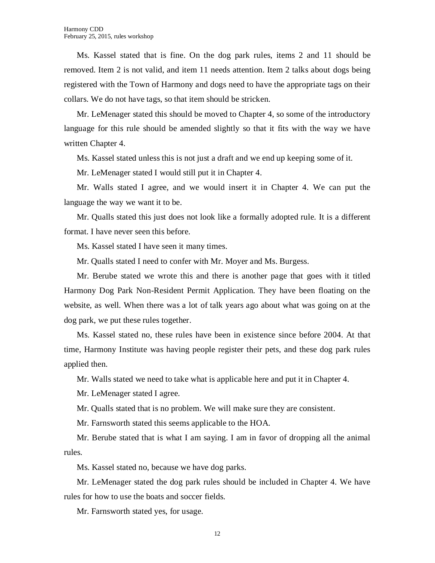Ms. Kassel stated that is fine. On the dog park rules, items 2 and 11 should be removed. Item 2 is not valid, and item 11 needs attention. Item 2 talks about dogs being registered with the Town of Harmony and dogs need to have the appropriate tags on their collars. We do not have tags, so that item should be stricken.

Mr. LeMenager stated this should be moved to Chapter 4, so some of the introductory language for this rule should be amended slightly so that it fits with the way we have written Chapter 4.

Ms. Kassel stated unless this is not just a draft and we end up keeping some of it.

Mr. LeMenager stated I would still put it in Chapter 4.

Mr. Walls stated I agree, and we would insert it in Chapter 4. We can put the language the way we want it to be.

Mr. Qualls stated this just does not look like a formally adopted rule. It is a different format. I have never seen this before.

Ms. Kassel stated I have seen it many times.

Mr. Qualls stated I need to confer with Mr. Moyer and Ms. Burgess.

Mr. Berube stated we wrote this and there is another page that goes with it titled Harmony Dog Park Non-Resident Permit Application. They have been floating on the website, as well. When there was a lot of talk years ago about what was going on at the dog park, we put these rules together.

Ms. Kassel stated no, these rules have been in existence since before 2004. At that time, Harmony Institute was having people register their pets, and these dog park rules applied then.

Mr. Walls stated we need to take what is applicable here and put it in Chapter 4.

Mr. LeMenager stated I agree.

Mr. Qualls stated that is no problem. We will make sure they are consistent.

Mr. Farnsworth stated this seems applicable to the HOA.

Mr. Berube stated that is what I am saying. I am in favor of dropping all the animal rules.

Ms. Kassel stated no, because we have dog parks.

Mr. LeMenager stated the dog park rules should be included in Chapter 4. We have rules for how to use the boats and soccer fields.

Mr. Farnsworth stated yes, for usage.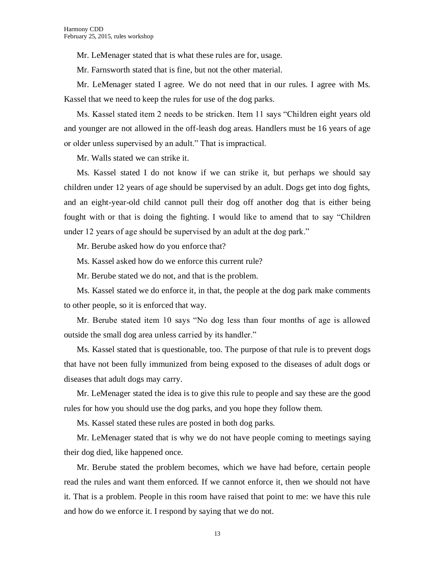Mr. LeMenager stated that is what these rules are for, usage.

Mr. Farnsworth stated that is fine, but not the other material.

Mr. LeMenager stated I agree. We do not need that in our rules. I agree with Ms. Kassel that we need to keep the rules for use of the dog parks.

Ms. Kassel stated item 2 needs to be stricken. Item 11 says "Children eight years old and younger are not allowed in the off-leash dog areas. Handlers must be 16 years of age or older unless supervised by an adult." That is impractical.

Mr. Walls stated we can strike it.

Ms. Kassel stated I do not know if we can strike it, but perhaps we should say children under 12 years of age should be supervised by an adult. Dogs get into dog fights, and an eight-year-old child cannot pull their dog off another dog that is either being fought with or that is doing the fighting. I would like to amend that to say "Children under 12 years of age should be supervised by an adult at the dog park."

Mr. Berube asked how do you enforce that?

Ms. Kassel asked how do we enforce this current rule?

Mr. Berube stated we do not, and that is the problem.

Ms. Kassel stated we do enforce it, in that, the people at the dog park make comments to other people, so it is enforced that way.

Mr. Berube stated item 10 says "No dog less than four months of age is allowed outside the small dog area unless carried by its handler."

Ms. Kassel stated that is questionable, too. The purpose of that rule is to prevent dogs that have not been fully immunized from being exposed to the diseases of adult dogs or diseases that adult dogs may carry.

Mr. LeMenager stated the idea is to give this rule to people and say these are the good rules for how you should use the dog parks, and you hope they follow them.

Ms. Kassel stated these rules are posted in both dog parks.

Mr. LeMenager stated that is why we do not have people coming to meetings saying their dog died, like happened once.

Mr. Berube stated the problem becomes, which we have had before, certain people read the rules and want them enforced. If we cannot enforce it, then we should not have it. That is a problem. People in this room have raised that point to me: we have this rule and how do we enforce it. I respond by saying that we do not.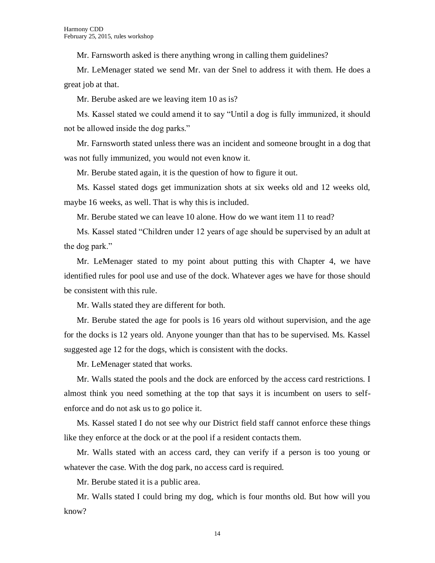Mr. Farnsworth asked is there anything wrong in calling them guidelines?

Mr. LeMenager stated we send Mr. van der Snel to address it with them. He does a great job at that.

Mr. Berube asked are we leaving item 10 as is?

Ms. Kassel stated we could amend it to say "Until a dog is fully immunized, it should not be allowed inside the dog parks."

Mr. Farnsworth stated unless there was an incident and someone brought in a dog that was not fully immunized, you would not even know it.

Mr. Berube stated again, it is the question of how to figure it out.

Ms. Kassel stated dogs get immunization shots at six weeks old and 12 weeks old, maybe 16 weeks, as well. That is why this is included.

Mr. Berube stated we can leave 10 alone. How do we want item 11 to read?

Ms. Kassel stated "Children under 12 years of age should be supervised by an adult at the dog park."

Mr. LeMenager stated to my point about putting this with Chapter 4, we have identified rules for pool use and use of the dock. Whatever ages we have for those should be consistent with this rule.

Mr. Walls stated they are different for both.

Mr. Berube stated the age for pools is 16 years old without supervision, and the age for the docks is 12 years old. Anyone younger than that has to be supervised. Ms. Kassel suggested age 12 for the dogs, which is consistent with the docks.

Mr. LeMenager stated that works.

Mr. Walls stated the pools and the dock are enforced by the access card restrictions. I almost think you need something at the top that says it is incumbent on users to selfenforce and do not ask us to go police it.

Ms. Kassel stated I do not see why our District field staff cannot enforce these things like they enforce at the dock or at the pool if a resident contacts them.

Mr. Walls stated with an access card, they can verify if a person is too young or whatever the case. With the dog park, no access card is required.

Mr. Berube stated it is a public area.

Mr. Walls stated I could bring my dog, which is four months old. But how will you know?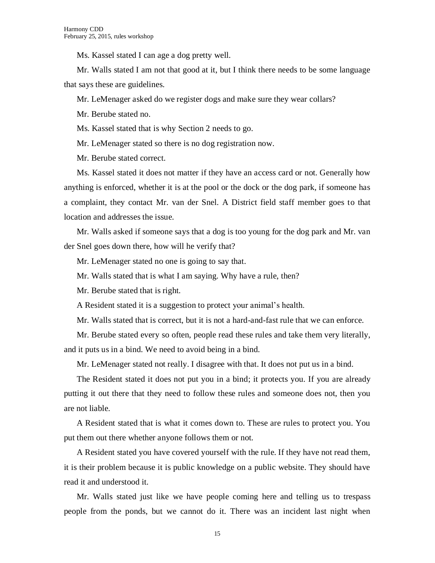Ms. Kassel stated I can age a dog pretty well.

Mr. Walls stated I am not that good at it, but I think there needs to be some language that says these are guidelines.

Mr. LeMenager asked do we register dogs and make sure they wear collars?

Mr. Berube stated no.

Ms. Kassel stated that is why Section 2 needs to go.

Mr. LeMenager stated so there is no dog registration now.

Mr. Berube stated correct.

Ms. Kassel stated it does not matter if they have an access card or not. Generally how anything is enforced, whether it is at the pool or the dock or the dog park, if someone has a complaint, they contact Mr. van der Snel. A District field staff member goes to that location and addresses the issue.

Mr. Walls asked if someone says that a dog is too young for the dog park and Mr. van der Snel goes down there, how will he verify that?

Mr. LeMenager stated no one is going to say that.

Mr. Walls stated that is what I am saying. Why have a rule, then?

Mr. Berube stated that is right.

A Resident stated it is a suggestion to protect your animal's health.

Mr. Walls stated that is correct, but it is not a hard-and-fast rule that we can enforce.

Mr. Berube stated every so often, people read these rules and take them very literally, and it puts us in a bind. We need to avoid being in a bind.

Mr. LeMenager stated not really. I disagree with that. It does not put us in a bind.

The Resident stated it does not put you in a bind; it protects you. If you are already putting it out there that they need to follow these rules and someone does not, then you are not liable.

A Resident stated that is what it comes down to. These are rules to protect you. You put them out there whether anyone follows them or not.

A Resident stated you have covered yourself with the rule. If they have not read them, it is their problem because it is public knowledge on a public website. They should have read it and understood it.

Mr. Walls stated just like we have people coming here and telling us to trespass people from the ponds, but we cannot do it. There was an incident last night when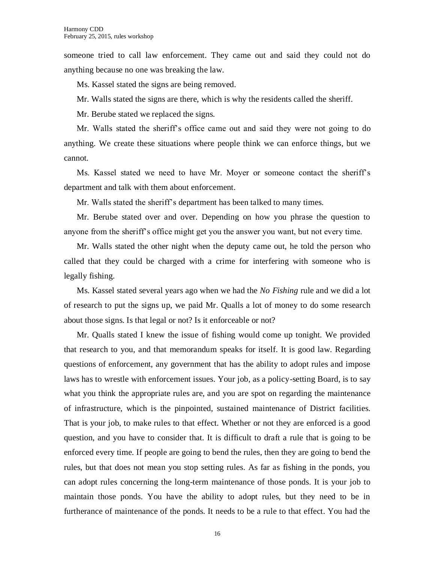someone tried to call law enforcement. They came out and said they could not do anything because no one was breaking the law.

Ms. Kassel stated the signs are being removed.

Mr. Walls stated the signs are there, which is why the residents called the sheriff.

Mr. Berube stated we replaced the signs.

Mr. Walls stated the sheriff's office came out and said they were not going to do anything. We create these situations where people think we can enforce things, but we cannot.

Ms. Kassel stated we need to have Mr. Moyer or someone contact the sheriff's department and talk with them about enforcement.

Mr. Walls stated the sheriff's department has been talked to many times.

Mr. Berube stated over and over. Depending on how you phrase the question to anyone from the sheriff's office might get you the answer you want, but not every time.

Mr. Walls stated the other night when the deputy came out, he told the person who called that they could be charged with a crime for interfering with someone who is legally fishing.

Ms. Kassel stated several years ago when we had the *No Fishing* rule and we did a lot of research to put the signs up, we paid Mr. Qualls a lot of money to do some research about those signs. Is that legal or not? Is it enforceable or not?

Mr. Qualls stated I knew the issue of fishing would come up tonight. We provided that research to you, and that memorandum speaks for itself. It is good law. Regarding questions of enforcement, any government that has the ability to adopt rules and impose laws has to wrestle with enforcement issues. Your job, as a policy-setting Board, is to say what you think the appropriate rules are, and you are spot on regarding the maintenance of infrastructure, which is the pinpointed, sustained maintenance of District facilities. That is your job, to make rules to that effect. Whether or not they are enforced is a good question, and you have to consider that. It is difficult to draft a rule that is going to be enforced every time. If people are going to bend the rules, then they are going to bend the rules, but that does not mean you stop setting rules. As far as fishing in the ponds, you can adopt rules concerning the long-term maintenance of those ponds. It is your job to maintain those ponds. You have the ability to adopt rules, but they need to be in furtherance of maintenance of the ponds. It needs to be a rule to that effect. You had the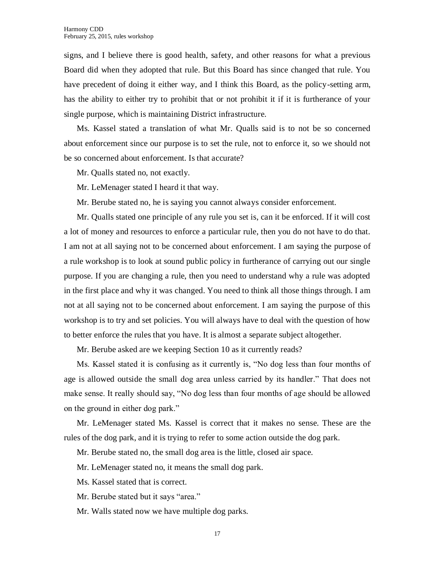signs, and I believe there is good health, safety, and other reasons for what a previous Board did when they adopted that rule. But this Board has since changed that rule. You have precedent of doing it either way, and I think this Board, as the policy-setting arm, has the ability to either try to prohibit that or not prohibit it if it is furtherance of your single purpose, which is maintaining District infrastructure.

Ms. Kassel stated a translation of what Mr. Qualls said is to not be so concerned about enforcement since our purpose is to set the rule, not to enforce it, so we should not be so concerned about enforcement. Is that accurate?

Mr. Qualls stated no, not exactly.

Mr. LeMenager stated I heard it that way.

Mr. Berube stated no, he is saying you cannot always consider enforcement.

Mr. Qualls stated one principle of any rule you set is, can it be enforced. If it will cost a lot of money and resources to enforce a particular rule, then you do not have to do that. I am not at all saying not to be concerned about enforcement. I am saying the purpose of a rule workshop is to look at sound public policy in furtherance of carrying out our single purpose. If you are changing a rule, then you need to understand why a rule was adopted in the first place and why it was changed. You need to think all those things through. I am not at all saying not to be concerned about enforcement. I am saying the purpose of this workshop is to try and set policies. You will always have to deal with the question of how to better enforce the rules that you have. It is almost a separate subject altogether.

Mr. Berube asked are we keeping Section 10 as it currently reads?

Ms. Kassel stated it is confusing as it currently is, "No dog less than four months of age is allowed outside the small dog area unless carried by its handler." That does not make sense. It really should say, "No dog less than four months of age should be allowed on the ground in either dog park."

Mr. LeMenager stated Ms. Kassel is correct that it makes no sense. These are the rules of the dog park, and it is trying to refer to some action outside the dog park.

Mr. Berube stated no, the small dog area is the little, closed air space.

Mr. LeMenager stated no, it means the small dog park.

Ms. Kassel stated that is correct.

Mr. Berube stated but it says "area."

Mr. Walls stated now we have multiple dog parks.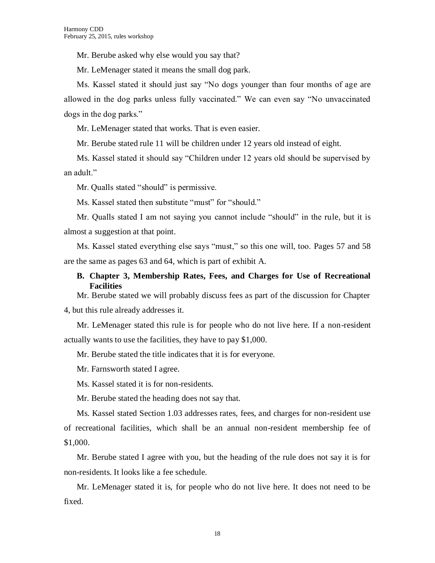Mr. Berube asked why else would you say that?

Mr. LeMenager stated it means the small dog park.

Ms. Kassel stated it should just say "No dogs younger than four months of age are allowed in the dog parks unless fully vaccinated." We can even say "No unvaccinated dogs in the dog parks."

Mr. LeMenager stated that works. That is even easier.

Mr. Berube stated rule 11 will be children under 12 years old instead of eight.

Ms. Kassel stated it should say "Children under 12 years old should be supervised by an adult."

Mr. Qualls stated "should" is permissive.

Ms. Kassel stated then substitute "must" for "should."

Mr. Qualls stated I am not saying you cannot include "should" in the rule, but it is almost a suggestion at that point.

Ms. Kassel stated everything else says "must," so this one will, too. Pages 57 and 58 are the same as pages 63 and 64, which is part of exhibit A.

# **B. Chapter 3, Membership Rates, Fees, and Charges for Use of Recreational Facilities**

Mr. Berube stated we will probably discuss fees as part of the discussion for Chapter 4, but this rule already addresses it.

Mr. LeMenager stated this rule is for people who do not live here. If a non-resident actually wants to use the facilities, they have to pay \$1,000.

Mr. Berube stated the title indicates that it is for everyone.

Mr. Farnsworth stated I agree.

Ms. Kassel stated it is for non-residents.

Mr. Berube stated the heading does not say that.

Ms. Kassel stated Section 1.03 addresses rates, fees, and charges for non-resident use of recreational facilities, which shall be an annual non-resident membership fee of \$1,000.

Mr. Berube stated I agree with you, but the heading of the rule does not say it is for non-residents. It looks like a fee schedule.

Mr. LeMenager stated it is, for people who do not live here. It does not need to be fixed.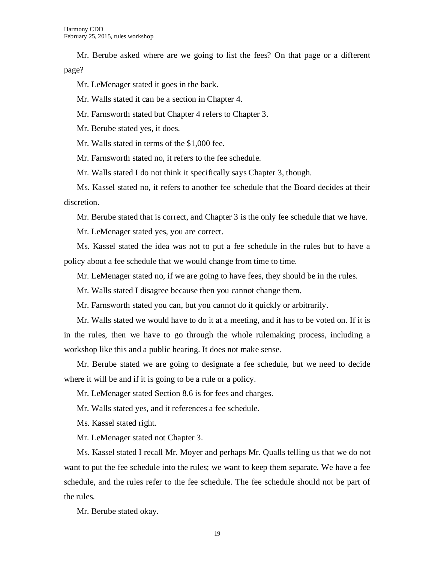Mr. Berube asked where are we going to list the fees? On that page or a different page?

Mr. LeMenager stated it goes in the back.

Mr. Walls stated it can be a section in Chapter 4.

Mr. Farnsworth stated but Chapter 4 refers to Chapter 3.

Mr. Berube stated yes, it does.

Mr. Walls stated in terms of the \$1,000 fee.

Mr. Farnsworth stated no, it refers to the fee schedule.

Mr. Walls stated I do not think it specifically says Chapter 3, though.

Ms. Kassel stated no, it refers to another fee schedule that the Board decides at their discretion.

Mr. Berube stated that is correct, and Chapter 3 is the only fee schedule that we have.

Mr. LeMenager stated yes, you are correct.

Ms. Kassel stated the idea was not to put a fee schedule in the rules but to have a policy about a fee schedule that we would change from time to time.

Mr. LeMenager stated no, if we are going to have fees, they should be in the rules.

Mr. Walls stated I disagree because then you cannot change them.

Mr. Farnsworth stated you can, but you cannot do it quickly or arbitrarily.

Mr. Walls stated we would have to do it at a meeting, and it has to be voted on. If it is in the rules, then we have to go through the whole rulemaking process, including a workshop like this and a public hearing. It does not make sense.

Mr. Berube stated we are going to designate a fee schedule, but we need to decide where it will be and if it is going to be a rule or a policy.

Mr. LeMenager stated Section 8.6 is for fees and charges.

Mr. Walls stated yes, and it references a fee schedule.

Ms. Kassel stated right.

Mr. LeMenager stated not Chapter 3.

Ms. Kassel stated I recall Mr. Moyer and perhaps Mr. Qualls telling us that we do not want to put the fee schedule into the rules; we want to keep them separate. We have a fee schedule, and the rules refer to the fee schedule. The fee schedule should not be part of the rules.

Mr. Berube stated okay.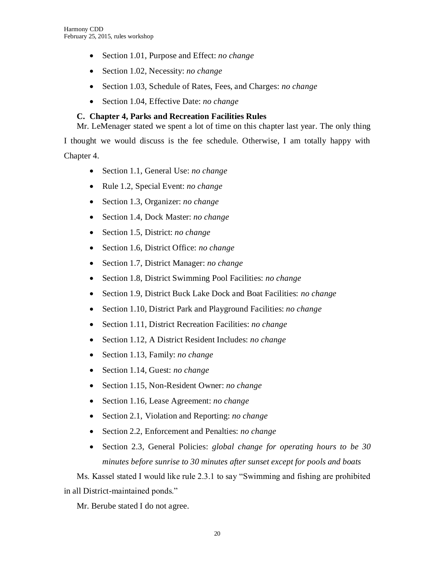- Section 1.01, Purpose and Effect: *no change*
- Section 1.02, Necessity: *no change*
- Section 1.03, Schedule of Rates, Fees, and Charges: *no change*
- Section 1.04, Effective Date: *no change*

# **C. Chapter 4, Parks and Recreation Facilities Rules**

Mr. LeMenager stated we spent a lot of time on this chapter last year. The only thing

I thought we would discuss is the fee schedule. Otherwise, I am totally happy with

Chapter 4.

- Section 1.1, General Use: *no change*
- Rule 1.2, Special Event: *no change*
- Section 1.3, Organizer: *no change*
- Section 1.4, Dock Master: *no change*
- Section 1.5, District: *no change*
- Section 1.6, District Office: *no change*
- Section 1.7, District Manager: *no change*
- Section 1.8, District Swimming Pool Facilities: *no change*
- Section 1.9, District Buck Lake Dock and Boat Facilities: *no change*
- Section 1.10, District Park and Playground Facilities: *no change*
- Section 1.11, District Recreation Facilities: *no change*
- Section 1.12, A District Resident Includes: *no change*
- Section 1.13, Family: *no change*
- Section 1.14, Guest: *no change*
- Section 1.15, Non-Resident Owner: *no change*
- Section 1.16, Lease Agreement: *no change*
- Section 2.1, Violation and Reporting: *no change*
- Section 2.2, Enforcement and Penalties: *no change*
- Section 2.3, General Policies: *global change for operating hours to be 30 minutes before sunrise to 30 minutes after sunset except for pools and boats*

Ms. Kassel stated I would like rule 2.3.1 to say "Swimming and fishing are prohibited in all District-maintained ponds."

Mr. Berube stated I do not agree.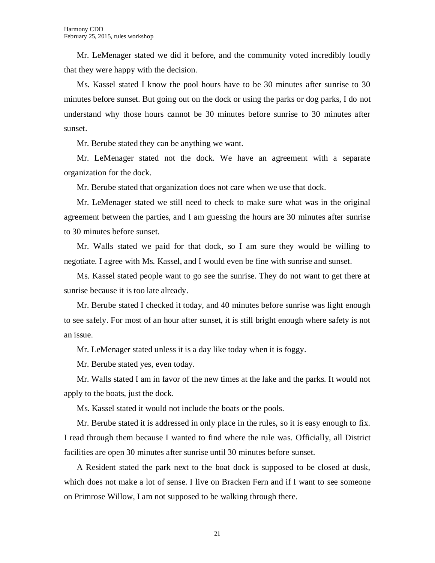Mr. LeMenager stated we did it before, and the community voted incredibly loudly that they were happy with the decision.

Ms. Kassel stated I know the pool hours have to be 30 minutes after sunrise to 30 minutes before sunset. But going out on the dock or using the parks or dog parks, I do not understand why those hours cannot be 30 minutes before sunrise to 30 minutes after sunset.

Mr. Berube stated they can be anything we want.

Mr. LeMenager stated not the dock. We have an agreement with a separate organization for the dock.

Mr. Berube stated that organization does not care when we use that dock.

Mr. LeMenager stated we still need to check to make sure what was in the original agreement between the parties, and I am guessing the hours are 30 minutes after sunrise to 30 minutes before sunset.

Mr. Walls stated we paid for that dock, so I am sure they would be willing to negotiate. I agree with Ms. Kassel, and I would even be fine with sunrise and sunset.

Ms. Kassel stated people want to go see the sunrise. They do not want to get there at sunrise because it is too late already.

Mr. Berube stated I checked it today, and 40 minutes before sunrise was light enough to see safely. For most of an hour after sunset, it is still bright enough where safety is not an issue.

Mr. LeMenager stated unless it is a day like today when it is foggy.

Mr. Berube stated yes, even today.

Mr. Walls stated I am in favor of the new times at the lake and the parks. It would not apply to the boats, just the dock.

Ms. Kassel stated it would not include the boats or the pools.

Mr. Berube stated it is addressed in only place in the rules, so it is easy enough to fix. I read through them because I wanted to find where the rule was. Officially, all District facilities are open 30 minutes after sunrise until 30 minutes before sunset.

A Resident stated the park next to the boat dock is supposed to be closed at dusk, which does not make a lot of sense. I live on Bracken Fern and if I want to see someone on Primrose Willow, I am not supposed to be walking through there.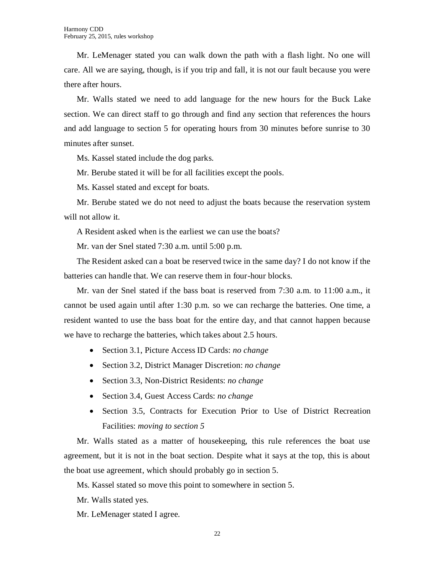Mr. LeMenager stated you can walk down the path with a flash light. No one will care. All we are saying, though, is if you trip and fall, it is not our fault because you were there after hours.

Mr. Walls stated we need to add language for the new hours for the Buck Lake section. We can direct staff to go through and find any section that references the hours and add language to section 5 for operating hours from 30 minutes before sunrise to 30 minutes after sunset.

Ms. Kassel stated include the dog parks.

Mr. Berube stated it will be for all facilities except the pools.

Ms. Kassel stated and except for boats.

Mr. Berube stated we do not need to adjust the boats because the reservation system will not allow it.

A Resident asked when is the earliest we can use the boats?

Mr. van der Snel stated 7:30 a.m. until 5:00 p.m.

The Resident asked can a boat be reserved twice in the same day? I do not know if the batteries can handle that. We can reserve them in four-hour blocks.

Mr. van der Snel stated if the bass boat is reserved from 7:30 a.m. to 11:00 a.m., it cannot be used again until after 1:30 p.m. so we can recharge the batteries. One time, a resident wanted to use the bass boat for the entire day, and that cannot happen because we have to recharge the batteries, which takes about 2.5 hours.

- Section 3.1, Picture Access ID Cards: *no change*
- Section 3.2, District Manager Discretion: *no change*
- Section 3.3, Non-District Residents: *no change*
- Section 3.4, Guest Access Cards: *no change*
- Section 3.5, Contracts for Execution Prior to Use of District Recreation Facilities: *moving to section 5*

Mr. Walls stated as a matter of housekeeping, this rule references the boat use agreement, but it is not in the boat section. Despite what it says at the top, this is about the boat use agreement, which should probably go in section 5.

Ms. Kassel stated so move this point to somewhere in section 5.

Mr. Walls stated yes.

Mr. LeMenager stated I agree.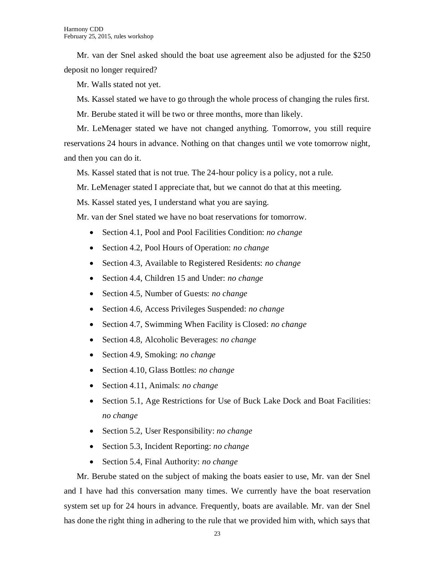Mr. van der Snel asked should the boat use agreement also be adjusted for the \$250 deposit no longer required?

Mr. Walls stated not yet.

Ms. Kassel stated we have to go through the whole process of changing the rules first.

Mr. Berube stated it will be two or three months, more than likely.

Mr. LeMenager stated we have not changed anything. Tomorrow, you still require reservations 24 hours in advance. Nothing on that changes until we vote tomorrow night, and then you can do it.

Ms. Kassel stated that is not true. The 24-hour policy is a policy, not a rule.

Mr. LeMenager stated I appreciate that, but we cannot do that at this meeting.

Ms. Kassel stated yes, I understand what you are saying.

Mr. van der Snel stated we have no boat reservations for tomorrow.

- Section 4.1, Pool and Pool Facilities Condition: *no change*
- Section 4.2, Pool Hours of Operation: *no change*
- Section 4.3, Available to Registered Residents: *no change*
- Section 4.4, Children 15 and Under: *no change*
- Section 4.5, Number of Guests: *no change*
- Section 4.6, Access Privileges Suspended: *no change*
- Section 4.7, Swimming When Facility is Closed: *no change*
- Section 4.8, Alcoholic Beverages: *no change*
- Section 4.9, Smoking: *no change*
- Section 4.10, Glass Bottles: *no change*
- Section 4.11, Animals: *no change*
- Section 5.1, Age Restrictions for Use of Buck Lake Dock and Boat Facilities: *no change*
- Section 5.2, User Responsibility: *no change*
- Section 5.3, Incident Reporting: *no change*
- Section 5.4, Final Authority: *no change*

Mr. Berube stated on the subject of making the boats easier to use, Mr. van der Snel and I have had this conversation many times. We currently have the boat reservation system set up for 24 hours in advance. Frequently, boats are available. Mr. van der Snel has done the right thing in adhering to the rule that we provided him with, which says that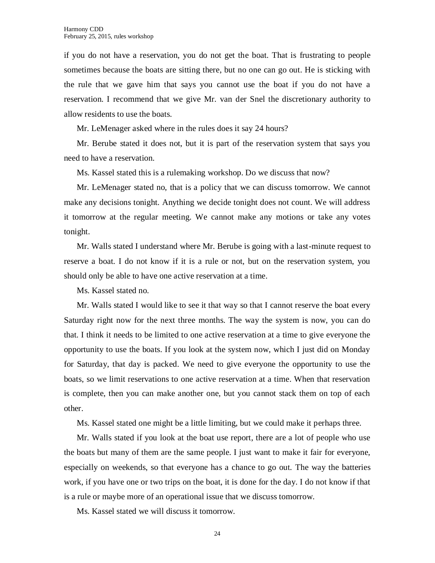if you do not have a reservation, you do not get the boat. That is frustrating to people sometimes because the boats are sitting there, but no one can go out. He is sticking with the rule that we gave him that says you cannot use the boat if you do not have a reservation. I recommend that we give Mr. van der Snel the discretionary authority to allow residents to use the boats.

Mr. LeMenager asked where in the rules does it say 24 hours?

Mr. Berube stated it does not, but it is part of the reservation system that says you need to have a reservation.

Ms. Kassel stated this is a rulemaking workshop. Do we discuss that now?

Mr. LeMenager stated no, that is a policy that we can discuss tomorrow. We cannot make any decisions tonight. Anything we decide tonight does not count. We will address it tomorrow at the regular meeting. We cannot make any motions or take any votes tonight.

Mr. Walls stated I understand where Mr. Berube is going with a last-minute request to reserve a boat. I do not know if it is a rule or not, but on the reservation system, you should only be able to have one active reservation at a time.

Ms. Kassel stated no.

Mr. Walls stated I would like to see it that way so that I cannot reserve the boat every Saturday right now for the next three months. The way the system is now, you can do that. I think it needs to be limited to one active reservation at a time to give everyone the opportunity to use the boats. If you look at the system now, which I just did on Monday for Saturday, that day is packed. We need to give everyone the opportunity to use the boats, so we limit reservations to one active reservation at a time. When that reservation is complete, then you can make another one, but you cannot stack them on top of each other.

Ms. Kassel stated one might be a little limiting, but we could make it perhaps three.

Mr. Walls stated if you look at the boat use report, there are a lot of people who use the boats but many of them are the same people. I just want to make it fair for everyone, especially on weekends, so that everyone has a chance to go out. The way the batteries work, if you have one or two trips on the boat, it is done for the day. I do not know if that is a rule or maybe more of an operational issue that we discuss tomorrow.

Ms. Kassel stated we will discuss it tomorrow.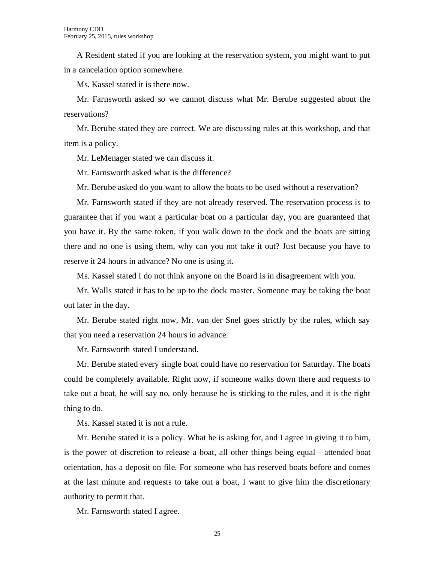A Resident stated if you are looking at the reservation system, you might want to put in a cancelation option somewhere.

Ms. Kassel stated it is there now.

Mr. Farnsworth asked so we cannot discuss what Mr. Berube suggested about the reservations?

Mr. Berube stated they are correct. We are discussing rules at this workshop, and that item is a policy.

Mr. LeMenager stated we can discuss it.

Mr. Farnsworth asked what is the difference?

Mr. Berube asked do you want to allow the boats to be used without a reservation?

Mr. Farnsworth stated if they are not already reserved. The reservation process is to guarantee that if you want a particular boat on a particular day, you are guaranteed that you have it. By the same token, if you walk down to the dock and the boats are sitting there and no one is using them, why can you not take it out? Just because you have to reserve it 24 hours in advance? No one is using it.

Ms. Kassel stated I do not think anyone on the Board is in disagreement with you.

Mr. Walls stated it has to be up to the dock master. Someone may be taking the boat out later in the day.

Mr. Berube stated right now, Mr. van der Snel goes strictly by the rules, which say that you need a reservation 24 hours in advance.

Mr. Farnsworth stated I understand.

Mr. Berube stated every single boat could have no reservation for Saturday. The boats could be completely available. Right now, if someone walks down there and requests to take out a boat, he will say no, only because he is sticking to the rules, and it is the right thing to do.

Ms. Kassel stated it is not a rule.

Mr. Berube stated it is a policy. What he is asking for, and I agree in giving it to him, is the power of discretion to release a boat, all other things being equal—attended boat orientation, has a deposit on file. For someone who has reserved boats before and comes at the last minute and requests to take out a boat, I want to give him the discretionary authority to permit that.

Mr. Farnsworth stated I agree.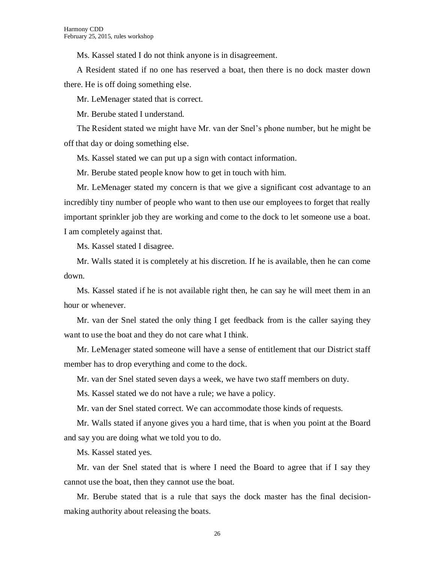Ms. Kassel stated I do not think anyone is in disagreement.

A Resident stated if no one has reserved a boat, then there is no dock master down there. He is off doing something else.

Mr. LeMenager stated that is correct.

Mr. Berube stated I understand.

The Resident stated we might have Mr. van der Snel's phone number, but he might be off that day or doing something else.

Ms. Kassel stated we can put up a sign with contact information.

Mr. Berube stated people know how to get in touch with him.

Mr. LeMenager stated my concern is that we give a significant cost advantage to an incredibly tiny number of people who want to then use our employees to forget that really important sprinkler job they are working and come to the dock to let someone use a boat. I am completely against that.

Ms. Kassel stated I disagree.

Mr. Walls stated it is completely at his discretion. If he is available, then he can come down.

Ms. Kassel stated if he is not available right then, he can say he will meet them in an hour or whenever.

Mr. van der Snel stated the only thing I get feedback from is the caller saying they want to use the boat and they do not care what I think.

Mr. LeMenager stated someone will have a sense of entitlement that our District staff member has to drop everything and come to the dock.

Mr. van der Snel stated seven days a week, we have two staff members on duty.

Ms. Kassel stated we do not have a rule; we have a policy.

Mr. van der Snel stated correct. We can accommodate those kinds of requests.

Mr. Walls stated if anyone gives you a hard time, that is when you point at the Board and say you are doing what we told you to do.

Ms. Kassel stated yes.

Mr. van der Snel stated that is where I need the Board to agree that if I say they cannot use the boat, then they cannot use the boat.

Mr. Berube stated that is a rule that says the dock master has the final decisionmaking authority about releasing the boats.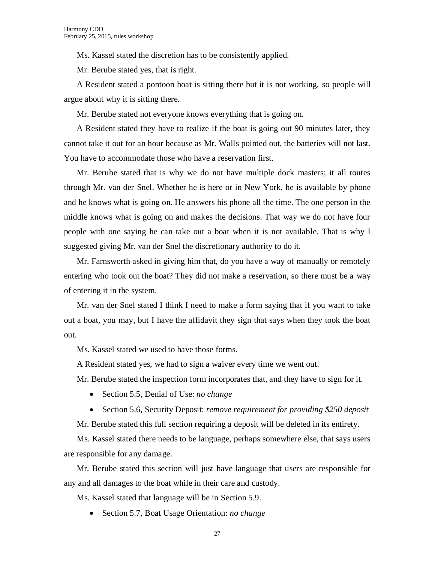Ms. Kassel stated the discretion has to be consistently applied.

Mr. Berube stated yes, that is right.

A Resident stated a pontoon boat is sitting there but it is not working, so people will argue about why it is sitting there.

Mr. Berube stated not everyone knows everything that is going on.

A Resident stated they have to realize if the boat is going out 90 minutes later, they cannot take it out for an hour because as Mr. Walls pointed out, the batteries will not last. You have to accommodate those who have a reservation first.

Mr. Berube stated that is why we do not have multiple dock masters; it all routes through Mr. van der Snel. Whether he is here or in New York, he is available by phone and he knows what is going on. He answers his phone all the time. The one person in the middle knows what is going on and makes the decisions. That way we do not have four people with one saying he can take out a boat when it is not available. That is why I suggested giving Mr. van der Snel the discretionary authority to do it.

Mr. Farnsworth asked in giving him that, do you have a way of manually or remotely entering who took out the boat? They did not make a reservation, so there must be a way of entering it in the system.

Mr. van der Snel stated I think I need to make a form saying that if you want to take out a boat, you may, but I have the affidavit they sign that says when they took the boat out.

Ms. Kassel stated we used to have those forms.

A Resident stated yes, we had to sign a waiver every time we went out.

Mr. Berube stated the inspection form incorporates that, and they have to sign for it.

- Section 5.5, Denial of Use: *no change*
- Section 5.6, Security Deposit: *remove requirement for providing \$250 deposit*

Mr. Berube stated this full section requiring a deposit will be deleted in its entirety.

Ms. Kassel stated there needs to be language, perhaps somewhere else, that says users are responsible for any damage.

Mr. Berube stated this section will just have language that users are responsible for any and all damages to the boat while in their care and custody.

Ms. Kassel stated that language will be in Section 5.9.

Section 5.7, Boat Usage Orientation: *no change*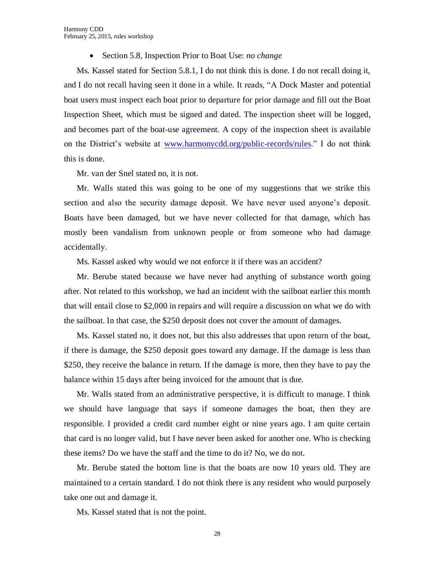Section 5.8, Inspection Prior to Boat Use: *no change*

Ms. Kassel stated for Section 5.8.1, I do not think this is done. I do not recall doing it, and I do not recall having seen it done in a while. It reads, "A Dock Master and potential boat users must inspect each boat prior to departure for prior damage and fill out the Boat Inspection Sheet, which must be signed and dated. The inspection sheet will be logged, and becomes part of the boat-use agreement. A copy of the inspection sheet is available on the District's website at [www.harmonycdd.org/public-records/rules.](http://www.harmonycdd.org/public-records/rules)" I do not think this is done.

Mr. van der Snel stated no, it is not.

Mr. Walls stated this was going to be one of my suggestions that we strike this section and also the security damage deposit. We have never used anyone's deposit. Boats have been damaged, but we have never collected for that damage, which has mostly been vandalism from unknown people or from someone who had damage accidentally.

Ms. Kassel asked why would we not enforce it if there was an accident?

Mr. Berube stated because we have never had anything of substance worth going after. Not related to this workshop, we had an incident with the sailboat earlier this month that will entail close to \$2,000 in repairs and will require a discussion on what we do with the sailboat. In that case, the \$250 deposit does not cover the amount of damages.

Ms. Kassel stated no, it does not, but this also addresses that upon return of the boat, if there is damage, the \$250 deposit goes toward any damage. If the damage is less than \$250, they receive the balance in return. If the damage is more, then they have to pay the balance within 15 days after being invoiced for the amount that is due.

Mr. Walls stated from an administrative perspective, it is difficult to manage. I think we should have language that says if someone damages the boat, then they are responsible. I provided a credit card number eight or nine years ago. I am quite certain that card is no longer valid, but I have never been asked for another one. Who is checking these items? Do we have the staff and the time to do it? No, we do not.

Mr. Berube stated the bottom line is that the boats are now 10 years old. They are maintained to a certain standard. I do not think there is any resident who would purposely take one out and damage it.

Ms. Kassel stated that is not the point.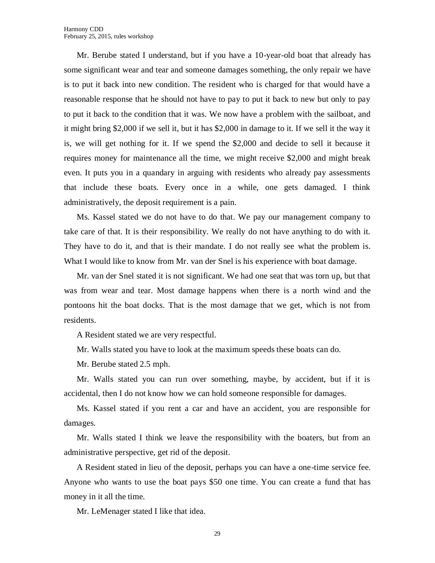Mr. Berube stated I understand, but if you have a 10-year-old boat that already has some significant wear and tear and someone damages something, the only repair we have is to put it back into new condition. The resident who is charged for that would have a reasonable response that he should not have to pay to put it back to new but only to pay to put it back to the condition that it was. We now have a problem with the sailboat, and it might bring \$2,000 if we sell it, but it has \$2,000 in damage to it. If we sell it the way it is, we will get nothing for it. If we spend the \$2,000 and decide to sell it because it requires money for maintenance all the time, we might receive \$2,000 and might break even. It puts you in a quandary in arguing with residents who already pay assessments that include these boats. Every once in a while, one gets damaged. I think administratively, the deposit requirement is a pain.

Ms. Kassel stated we do not have to do that. We pay our management company to take care of that. It is their responsibility. We really do not have anything to do with it. They have to do it, and that is their mandate. I do not really see what the problem is. What I would like to know from Mr. van der Snel is his experience with boat damage.

Mr. van der Snel stated it is not significant. We had one seat that was torn up, but that was from wear and tear. Most damage happens when there is a north wind and the pontoons hit the boat docks. That is the most damage that we get, which is not from residents.

A Resident stated we are very respectful.

Mr. Walls stated you have to look at the maximum speeds these boats can do.

Mr. Berube stated 2.5 mph.

Mr. Walls stated you can run over something, maybe, by accident, but if it is accidental, then I do not know how we can hold someone responsible for damages.

Ms. Kassel stated if you rent a car and have an accident, you are responsible for damages.

Mr. Walls stated I think we leave the responsibility with the boaters, but from an administrative perspective, get rid of the deposit.

A Resident stated in lieu of the deposit, perhaps you can have a one-time service fee. Anyone who wants to use the boat pays \$50 one time. You can create a fund that has money in it all the time.

Mr. LeMenager stated I like that idea.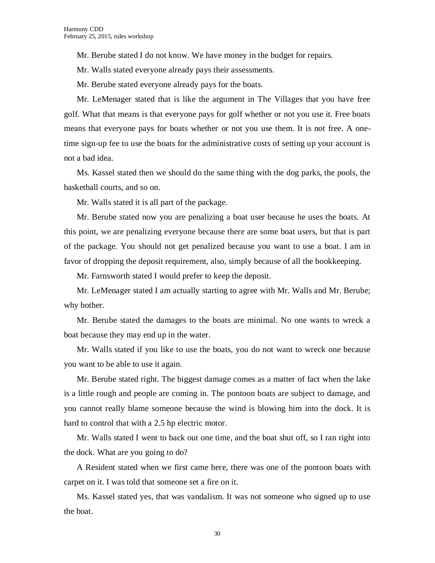Mr. Berube stated I do not know. We have money in the budget for repairs.

Mr. Walls stated everyone already pays their assessments.

Mr. Berube stated everyone already pays for the boats.

Mr. LeMenager stated that is like the argument in The Villages that you have free golf. What that means is that everyone pays for golf whether or not you use it. Free boats means that everyone pays for boats whether or not you use them. It is not free. A onetime sign-up fee to use the boats for the administrative costs of setting up your account is not a bad idea.

Ms. Kassel stated then we should do the same thing with the dog parks, the pools, the basketball courts, and so on.

Mr. Walls stated it is all part of the package.

Mr. Berube stated now you are penalizing a boat user because he uses the boats. At this point, we are penalizing everyone because there are some boat users, but that is part of the package. You should not get penalized because you want to use a boat. I am in favor of dropping the deposit requirement, also, simply because of all the bookkeeping.

Mr. Farnsworth stated I would prefer to keep the deposit.

Mr. LeMenager stated I am actually starting to agree with Mr. Walls and Mr. Berube; why bother.

Mr. Berube stated the damages to the boats are minimal. No one wants to wreck a boat because they may end up in the water.

Mr. Walls stated if you like to use the boats, you do not want to wreck one because you want to be able to use it again.

Mr. Berube stated right. The biggest damage comes as a matter of fact when the lake is a little rough and people are coming in. The pontoon boats are subject to damage, and you cannot really blame someone because the wind is blowing him into the dock. It is hard to control that with a 2.5 hp electric motor.

Mr. Walls stated I went to back out one time, and the boat shut off, so I ran right into the dock. What are you going to do?

A Resident stated when we first came here, there was one of the pontoon boats with carpet on it. I was told that someone set a fire on it.

Ms. Kassel stated yes, that was vandalism. It was not someone who signed up to use the boat.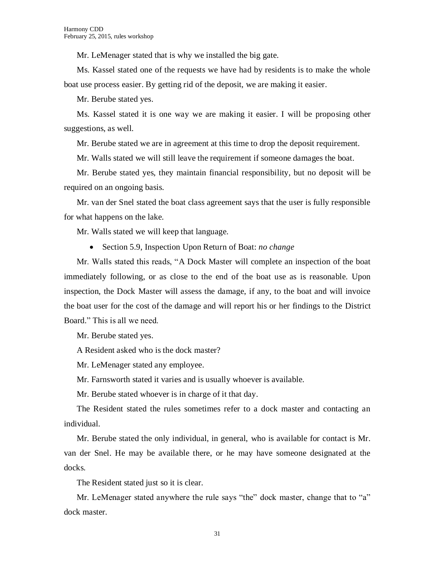Mr. LeMenager stated that is why we installed the big gate.

Ms. Kassel stated one of the requests we have had by residents is to make the whole boat use process easier. By getting rid of the deposit, we are making it easier.

Mr. Berube stated yes.

Ms. Kassel stated it is one way we are making it easier. I will be proposing other suggestions, as well.

Mr. Berube stated we are in agreement at this time to drop the deposit requirement.

Mr. Walls stated we will still leave the requirement if someone damages the boat.

Mr. Berube stated yes, they maintain financial responsibility, but no deposit will be required on an ongoing basis.

Mr. van der Snel stated the boat class agreement says that the user is fully responsible for what happens on the lake.

Mr. Walls stated we will keep that language.

Section 5.9, Inspection Upon Return of Boat: *no change*

Mr. Walls stated this reads, "A Dock Master will complete an inspection of the boat immediately following, or as close to the end of the boat use as is reasonable. Upon inspection, the Dock Master will assess the damage, if any, to the boat and will invoice the boat user for the cost of the damage and will report his or her findings to the District Board." This is all we need.

Mr. Berube stated yes.

A Resident asked who is the dock master?

Mr. LeMenager stated any employee.

Mr. Farnsworth stated it varies and is usually whoever is available.

Mr. Berube stated whoever is in charge of it that day.

The Resident stated the rules sometimes refer to a dock master and contacting an individual.

Mr. Berube stated the only individual, in general, who is available for contact is Mr. van der Snel. He may be available there, or he may have someone designated at the docks.

The Resident stated just so it is clear.

Mr. LeMenager stated anywhere the rule says "the" dock master, change that to "a" dock master.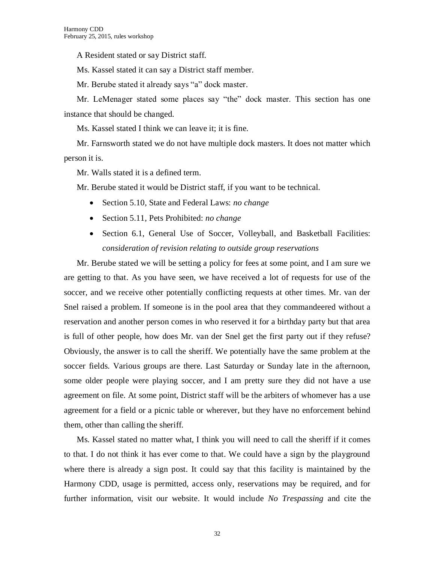A Resident stated or say District staff.

Ms. Kassel stated it can say a District staff member.

Mr. Berube stated it already says "a" dock master.

Mr. LeMenager stated some places say "the" dock master. This section has one instance that should be changed.

Ms. Kassel stated I think we can leave it; it is fine.

Mr. Farnsworth stated we do not have multiple dock masters. It does not matter which person it is.

Mr. Walls stated it is a defined term.

Mr. Berube stated it would be District staff, if you want to be technical.

- Section 5.10, State and Federal Laws: *no change*
- Section 5.11, Pets Prohibited: *no change*
- Section 6.1, General Use of Soccer, Volleyball, and Basketball Facilities: *consideration of revision relating to outside group reservations*

Mr. Berube stated we will be setting a policy for fees at some point, and I am sure we are getting to that. As you have seen, we have received a lot of requests for use of the soccer, and we receive other potentially conflicting requests at other times. Mr. van der Snel raised a problem. If someone is in the pool area that they commandeered without a reservation and another person comes in who reserved it for a birthday party but that area is full of other people, how does Mr. van der Snel get the first party out if they refuse? Obviously, the answer is to call the sheriff. We potentially have the same problem at the soccer fields. Various groups are there. Last Saturday or Sunday late in the afternoon, some older people were playing soccer, and I am pretty sure they did not have a use agreement on file. At some point, District staff will be the arbiters of whomever has a use agreement for a field or a picnic table or wherever, but they have no enforcement behind them, other than calling the sheriff.

Ms. Kassel stated no matter what, I think you will need to call the sheriff if it comes to that. I do not think it has ever come to that. We could have a sign by the playground where there is already a sign post. It could say that this facility is maintained by the Harmony CDD, usage is permitted, access only, reservations may be required, and for further information, visit our website. It would include *No Trespassing* and cite the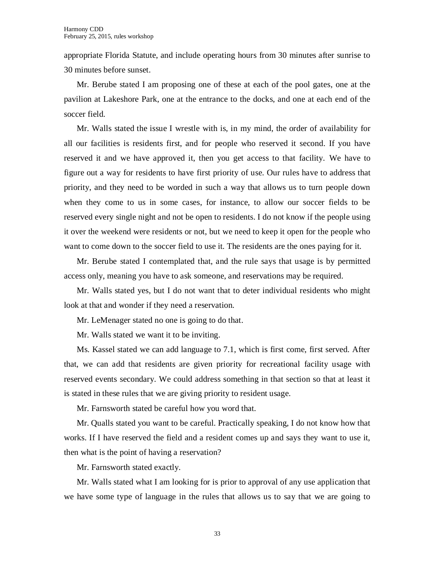appropriate Florida Statute, and include operating hours from 30 minutes after sunrise to 30 minutes before sunset.

Mr. Berube stated I am proposing one of these at each of the pool gates, one at the pavilion at Lakeshore Park, one at the entrance to the docks, and one at each end of the soccer field.

Mr. Walls stated the issue I wrestle with is, in my mind, the order of availability for all our facilities is residents first, and for people who reserved it second. If you have reserved it and we have approved it, then you get access to that facility. We have to figure out a way for residents to have first priority of use. Our rules have to address that priority, and they need to be worded in such a way that allows us to turn people down when they come to us in some cases, for instance, to allow our soccer fields to be reserved every single night and not be open to residents. I do not know if the people using it over the weekend were residents or not, but we need to keep it open for the people who want to come down to the soccer field to use it. The residents are the ones paying for it.

Mr. Berube stated I contemplated that, and the rule says that usage is by permitted access only, meaning you have to ask someone, and reservations may be required.

Mr. Walls stated yes, but I do not want that to deter individual residents who might look at that and wonder if they need a reservation.

Mr. LeMenager stated no one is going to do that.

Mr. Walls stated we want it to be inviting.

Ms. Kassel stated we can add language to 7.1, which is first come, first served. After that, we can add that residents are given priority for recreational facility usage with reserved events secondary. We could address something in that section so that at least it is stated in these rules that we are giving priority to resident usage.

Mr. Farnsworth stated be careful how you word that.

Mr. Qualls stated you want to be careful. Practically speaking, I do not know how that works. If I have reserved the field and a resident comes up and says they want to use it, then what is the point of having a reservation?

Mr. Farnsworth stated exactly.

Mr. Walls stated what I am looking for is prior to approval of any use application that we have some type of language in the rules that allows us to say that we are going to

33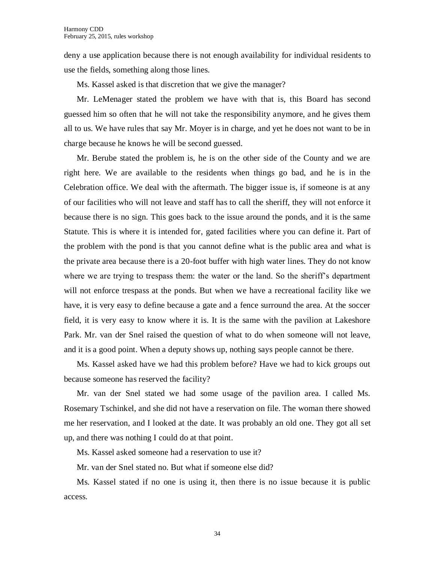deny a use application because there is not enough availability for individual residents to use the fields, something along those lines.

Ms. Kassel asked is that discretion that we give the manager?

Mr. LeMenager stated the problem we have with that is, this Board has second guessed him so often that he will not take the responsibility anymore, and he gives them all to us. We have rules that say Mr. Moyer is in charge, and yet he does not want to be in charge because he knows he will be second guessed.

Mr. Berube stated the problem is, he is on the other side of the County and we are right here. We are available to the residents when things go bad, and he is in the Celebration office. We deal with the aftermath. The bigger issue is, if someone is at any of our facilities who will not leave and staff has to call the sheriff, they will not enforce it because there is no sign. This goes back to the issue around the ponds, and it is the same Statute. This is where it is intended for, gated facilities where you can define it. Part of the problem with the pond is that you cannot define what is the public area and what is the private area because there is a 20-foot buffer with high water lines. They do not know where we are trying to trespass them: the water or the land. So the sheriff's department will not enforce trespass at the ponds. But when we have a recreational facility like we have, it is very easy to define because a gate and a fence surround the area. At the soccer field, it is very easy to know where it is. It is the same with the pavilion at Lakeshore Park. Mr. van der Snel raised the question of what to do when someone will not leave, and it is a good point. When a deputy shows up, nothing says people cannot be there.

Ms. Kassel asked have we had this problem before? Have we had to kick groups out because someone has reserved the facility?

Mr. van der Snel stated we had some usage of the pavilion area. I called Ms. Rosemary Tschinkel, and she did not have a reservation on file. The woman there showed me her reservation, and I looked at the date. It was probably an old one. They got all set up, and there was nothing I could do at that point.

Ms. Kassel asked someone had a reservation to use it?

Mr. van der Snel stated no. But what if someone else did?

Ms. Kassel stated if no one is using it, then there is no issue because it is public access.

34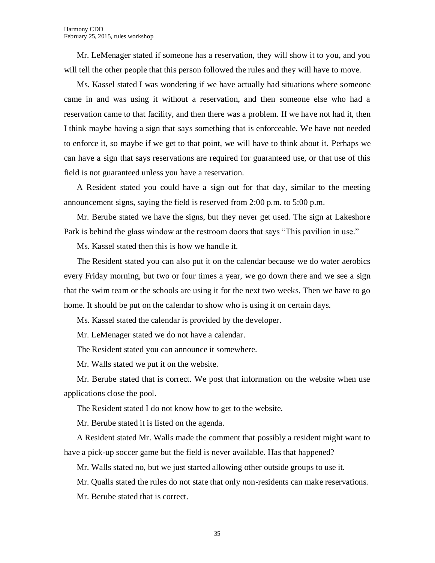Mr. LeMenager stated if someone has a reservation, they will show it to you, and you will tell the other people that this person followed the rules and they will have to move.

Ms. Kassel stated I was wondering if we have actually had situations where someone came in and was using it without a reservation, and then someone else who had a reservation came to that facility, and then there was a problem. If we have not had it, then I think maybe having a sign that says something that is enforceable. We have not needed to enforce it, so maybe if we get to that point, we will have to think about it. Perhaps we can have a sign that says reservations are required for guaranteed use, or that use of this field is not guaranteed unless you have a reservation.

A Resident stated you could have a sign out for that day, similar to the meeting announcement signs, saying the field is reserved from 2:00 p.m. to 5:00 p.m.

Mr. Berube stated we have the signs, but they never get used. The sign at Lakeshore Park is behind the glass window at the restroom doors that says "This pavilion in use."

Ms. Kassel stated then this is how we handle it.

The Resident stated you can also put it on the calendar because we do water aerobics every Friday morning, but two or four times a year, we go down there and we see a sign that the swim team or the schools are using it for the next two weeks. Then we have to go home. It should be put on the calendar to show who is using it on certain days.

Ms. Kassel stated the calendar is provided by the developer.

Mr. LeMenager stated we do not have a calendar.

The Resident stated you can announce it somewhere.

Mr. Walls stated we put it on the website.

Mr. Berube stated that is correct. We post that information on the website when use applications close the pool.

The Resident stated I do not know how to get to the website.

Mr. Berube stated it is listed on the agenda.

A Resident stated Mr. Walls made the comment that possibly a resident might want to have a pick-up soccer game but the field is never available. Has that happened?

Mr. Walls stated no, but we just started allowing other outside groups to use it.

Mr. Qualls stated the rules do not state that only non-residents can make reservations.

Mr. Berube stated that is correct.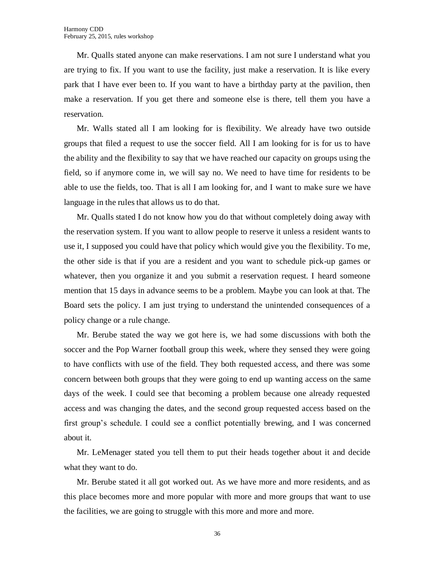Mr. Qualls stated anyone can make reservations. I am not sure I understand what you are trying to fix. If you want to use the facility, just make a reservation. It is like every park that I have ever been to. If you want to have a birthday party at the pavilion, then make a reservation. If you get there and someone else is there, tell them you have a reservation.

Mr. Walls stated all I am looking for is flexibility. We already have two outside groups that filed a request to use the soccer field. All I am looking for is for us to have the ability and the flexibility to say that we have reached our capacity on groups using the field, so if anymore come in, we will say no. We need to have time for residents to be able to use the fields, too. That is all I am looking for, and I want to make sure we have language in the rules that allows us to do that.

Mr. Qualls stated I do not know how you do that without completely doing away with the reservation system. If you want to allow people to reserve it unless a resident wants to use it, I supposed you could have that policy which would give you the flexibility. To me, the other side is that if you are a resident and you want to schedule pick-up games or whatever, then you organize it and you submit a reservation request. I heard someone mention that 15 days in advance seems to be a problem. Maybe you can look at that. The Board sets the policy. I am just trying to understand the unintended consequences of a policy change or a rule change.

Mr. Berube stated the way we got here is, we had some discussions with both the soccer and the Pop Warner football group this week, where they sensed they were going to have conflicts with use of the field. They both requested access, and there was some concern between both groups that they were going to end up wanting access on the same days of the week. I could see that becoming a problem because one already requested access and was changing the dates, and the second group requested access based on the first group's schedule. I could see a conflict potentially brewing, and I was concerned about it.

Mr. LeMenager stated you tell them to put their heads together about it and decide what they want to do.

Mr. Berube stated it all got worked out. As we have more and more residents, and as this place becomes more and more popular with more and more groups that want to use the facilities, we are going to struggle with this more and more and more.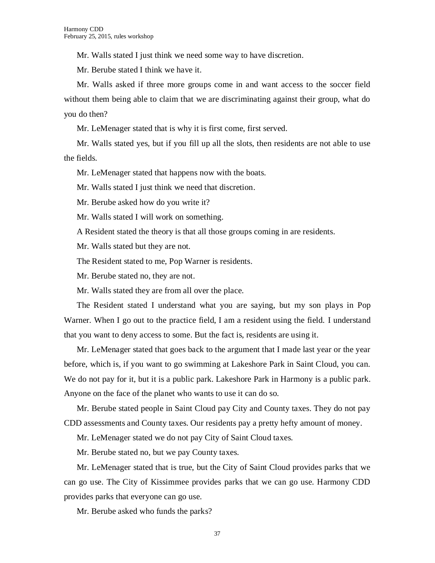Mr. Walls stated I just think we need some way to have discretion.

Mr. Berube stated I think we have it.

Mr. Walls asked if three more groups come in and want access to the soccer field without them being able to claim that we are discriminating against their group, what do you do then?

Mr. LeMenager stated that is why it is first come, first served.

Mr. Walls stated yes, but if you fill up all the slots, then residents are not able to use the fields.

Mr. LeMenager stated that happens now with the boats.

Mr. Walls stated I just think we need that discretion.

Mr. Berube asked how do you write it?

Mr. Walls stated I will work on something.

A Resident stated the theory is that all those groups coming in are residents.

Mr. Walls stated but they are not.

The Resident stated to me, Pop Warner is residents.

Mr. Berube stated no, they are not.

Mr. Walls stated they are from all over the place.

The Resident stated I understand what you are saying, but my son plays in Pop Warner. When I go out to the practice field, I am a resident using the field. I understand that you want to deny access to some. But the fact is, residents are using it.

Mr. LeMenager stated that goes back to the argument that I made last year or the year before, which is, if you want to go swimming at Lakeshore Park in Saint Cloud, you can. We do not pay for it, but it is a public park. Lakeshore Park in Harmony is a public park. Anyone on the face of the planet who wants to use it can do so.

Mr. Berube stated people in Saint Cloud pay City and County taxes. They do not pay CDD assessments and County taxes. Our residents pay a pretty hefty amount of money.

Mr. LeMenager stated we do not pay City of Saint Cloud taxes.

Mr. Berube stated no, but we pay County taxes.

Mr. LeMenager stated that is true, but the City of Saint Cloud provides parks that we can go use. The City of Kissimmee provides parks that we can go use. Harmony CDD provides parks that everyone can go use.

Mr. Berube asked who funds the parks?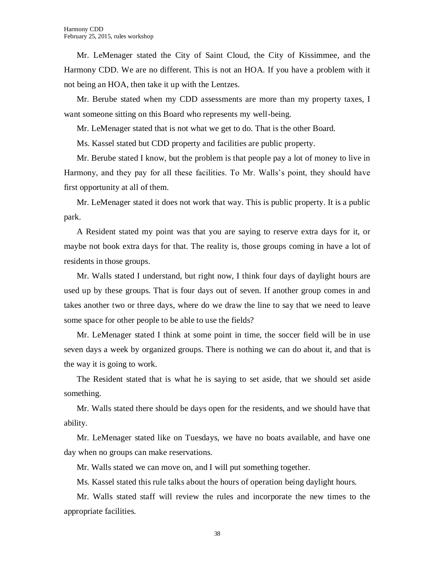Mr. LeMenager stated the City of Saint Cloud, the City of Kissimmee, and the Harmony CDD. We are no different. This is not an HOA. If you have a problem with it not being an HOA, then take it up with the Lentzes.

Mr. Berube stated when my CDD assessments are more than my property taxes, I want someone sitting on this Board who represents my well-being.

Mr. LeMenager stated that is not what we get to do. That is the other Board.

Ms. Kassel stated but CDD property and facilities are public property.

Mr. Berube stated I know, but the problem is that people pay a lot of money to live in Harmony, and they pay for all these facilities. To Mr. Walls's point, they should have first opportunity at all of them.

Mr. LeMenager stated it does not work that way. This is public property. It is a public park.

A Resident stated my point was that you are saying to reserve extra days for it, or maybe not book extra days for that. The reality is, those groups coming in have a lot of residents in those groups.

Mr. Walls stated I understand, but right now, I think four days of daylight hours are used up by these groups. That is four days out of seven. If another group comes in and takes another two or three days, where do we draw the line to say that we need to leave some space for other people to be able to use the fields?

Mr. LeMenager stated I think at some point in time, the soccer field will be in use seven days a week by organized groups. There is nothing we can do about it, and that is the way it is going to work.

The Resident stated that is what he is saying to set aside, that we should set aside something.

Mr. Walls stated there should be days open for the residents, and we should have that ability.

Mr. LeMenager stated like on Tuesdays, we have no boats available, and have one day when no groups can make reservations.

Mr. Walls stated we can move on, and I will put something together.

Ms. Kassel stated this rule talks about the hours of operation being daylight hours.

Mr. Walls stated staff will review the rules and incorporate the new times to the appropriate facilities.

38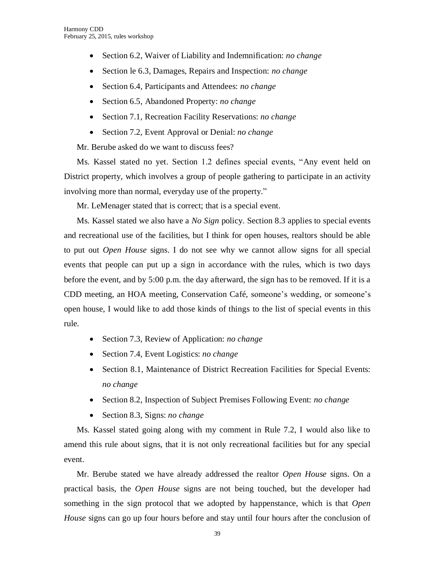- Section 6.2, Waiver of Liability and Indemnification: *no change*
- Section le 6.3, Damages, Repairs and Inspection: *no change*
- Section 6.4, Participants and Attendees: *no change*
- Section 6.5, Abandoned Property: *no change*
- Section 7.1, Recreation Facility Reservations: *no change*
- Section 7.2, Event Approval or Denial: *no change*

Mr. Berube asked do we want to discuss fees?

Ms. Kassel stated no yet. Section 1.2 defines special events, "Any event held on District property, which involves a group of people gathering to participate in an activity involving more than normal, everyday use of the property."

Mr. LeMenager stated that is correct; that is a special event.

Ms. Kassel stated we also have a *No Sign* policy. Section 8.3 applies to special events and recreational use of the facilities, but I think for open houses, realtors should be able to put out *Open House* signs. I do not see why we cannot allow signs for all special events that people can put up a sign in accordance with the rules, which is two days before the event, and by 5:00 p.m. the day afterward, the sign has to be removed. If it is a CDD meeting, an HOA meeting, Conservation Café, someone's wedding, or someone's open house, I would like to add those kinds of things to the list of special events in this rule.

- Section 7.3, Review of Application: *no change*
- Section 7.4, Event Logistics: *no change*
- Section 8.1, Maintenance of District Recreation Facilities for Special Events: *no change*
- Section 8.2, Inspection of Subject Premises Following Event: *no change*
- Section 8.3, Signs: *no change*

Ms. Kassel stated going along with my comment in Rule 7.2, I would also like to amend this rule about signs, that it is not only recreational facilities but for any special event.

Mr. Berube stated we have already addressed the realtor *Open House* signs. On a practical basis, the *Open House* signs are not being touched, but the developer had something in the sign protocol that we adopted by happenstance, which is that *Open House* signs can go up four hours before and stay until four hours after the conclusion of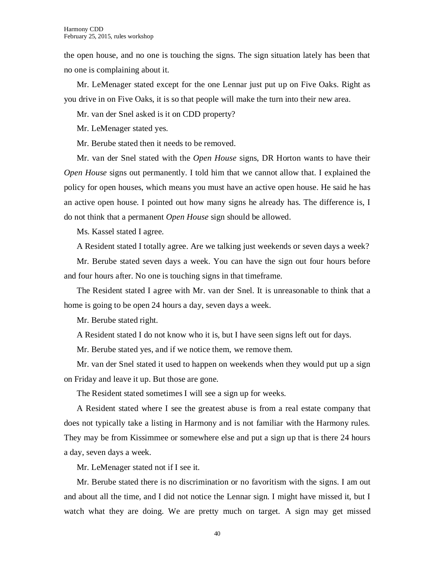the open house, and no one is touching the signs. The sign situation lately has been that no one is complaining about it.

Mr. LeMenager stated except for the one Lennar just put up on Five Oaks. Right as you drive in on Five Oaks, it is so that people will make the turn into their new area.

Mr. van der Snel asked is it on CDD property?

Mr. LeMenager stated yes.

Mr. Berube stated then it needs to be removed.

Mr. van der Snel stated with the *Open House* signs, DR Horton wants to have their *Open House* signs out permanently. I told him that we cannot allow that. I explained the policy for open houses, which means you must have an active open house. He said he has an active open house. I pointed out how many signs he already has. The difference is, I do not think that a permanent *Open House* sign should be allowed.

Ms. Kassel stated I agree.

A Resident stated I totally agree. Are we talking just weekends or seven days a week?

Mr. Berube stated seven days a week. You can have the sign out four hours before and four hours after. No one is touching signs in that timeframe.

The Resident stated I agree with Mr. van der Snel. It is unreasonable to think that a home is going to be open 24 hours a day, seven days a week.

Mr. Berube stated right.

A Resident stated I do not know who it is, but I have seen signs left out for days.

Mr. Berube stated yes, and if we notice them, we remove them.

Mr. van der Snel stated it used to happen on weekends when they would put up a sign on Friday and leave it up. But those are gone.

The Resident stated sometimes I will see a sign up for weeks.

A Resident stated where I see the greatest abuse is from a real estate company that does not typically take a listing in Harmony and is not familiar with the Harmony rules. They may be from Kissimmee or somewhere else and put a sign up that is there 24 hours a day, seven days a week.

Mr. LeMenager stated not if I see it.

Mr. Berube stated there is no discrimination or no favoritism with the signs. I am out and about all the time, and I did not notice the Lennar sign. I might have missed it, but I watch what they are doing. We are pretty much on target. A sign may get missed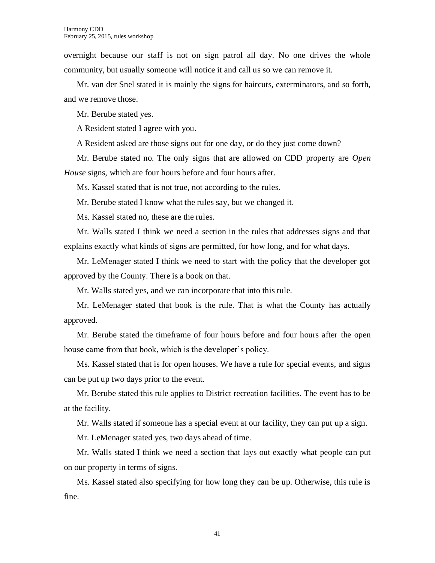overnight because our staff is not on sign patrol all day. No one drives the whole community, but usually someone will notice it and call us so we can remove it.

Mr. van der Snel stated it is mainly the signs for haircuts, exterminators, and so forth, and we remove those.

Mr. Berube stated yes.

A Resident stated I agree with you.

A Resident asked are those signs out for one day, or do they just come down?

Mr. Berube stated no. The only signs that are allowed on CDD property are *Open House* signs, which are four hours before and four hours after.

Ms. Kassel stated that is not true, not according to the rules.

Mr. Berube stated I know what the rules say, but we changed it.

Ms. Kassel stated no, these are the rules.

Mr. Walls stated I think we need a section in the rules that addresses signs and that explains exactly what kinds of signs are permitted, for how long, and for what days.

Mr. LeMenager stated I think we need to start with the policy that the developer got approved by the County. There is a book on that.

Mr. Walls stated yes, and we can incorporate that into this rule.

Mr. LeMenager stated that book is the rule. That is what the County has actually approved.

Mr. Berube stated the timeframe of four hours before and four hours after the open house came from that book, which is the developer's policy.

Ms. Kassel stated that is for open houses. We have a rule for special events, and signs can be put up two days prior to the event.

Mr. Berube stated this rule applies to District recreation facilities. The event has to be at the facility.

Mr. Walls stated if someone has a special event at our facility, they can put up a sign.

Mr. LeMenager stated yes, two days ahead of time.

Mr. Walls stated I think we need a section that lays out exactly what people can put on our property in terms of signs.

Ms. Kassel stated also specifying for how long they can be up. Otherwise, this rule is fine.

41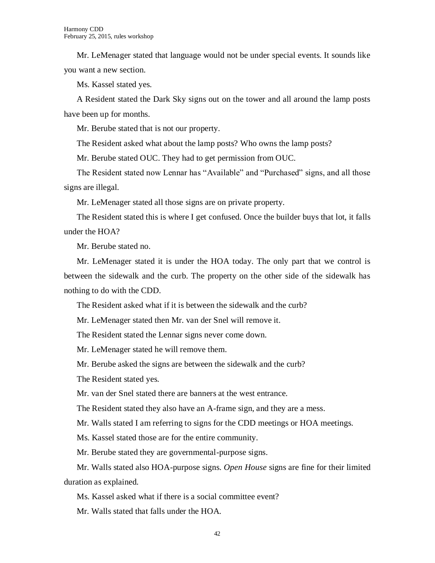Mr. LeMenager stated that language would not be under special events. It sounds like you want a new section.

Ms. Kassel stated yes.

A Resident stated the Dark Sky signs out on the tower and all around the lamp posts have been up for months.

Mr. Berube stated that is not our property.

The Resident asked what about the lamp posts? Who owns the lamp posts?

Mr. Berube stated OUC. They had to get permission from OUC.

The Resident stated now Lennar has "Available" and "Purchased" signs, and all those signs are illegal.

Mr. LeMenager stated all those signs are on private property.

The Resident stated this is where I get confused. Once the builder buys that lot, it falls under the HOA?

Mr. Berube stated no.

Mr. LeMenager stated it is under the HOA today. The only part that we control is between the sidewalk and the curb. The property on the other side of the sidewalk has nothing to do with the CDD.

The Resident asked what if it is between the sidewalk and the curb?

Mr. LeMenager stated then Mr. van der Snel will remove it.

The Resident stated the Lennar signs never come down.

Mr. LeMenager stated he will remove them.

Mr. Berube asked the signs are between the sidewalk and the curb?

The Resident stated yes.

Mr. van der Snel stated there are banners at the west entrance.

The Resident stated they also have an A-frame sign, and they are a mess.

Mr. Walls stated I am referring to signs for the CDD meetings or HOA meetings.

Ms. Kassel stated those are for the entire community.

Mr. Berube stated they are governmental-purpose signs.

Mr. Walls stated also HOA-purpose signs. *Open House* signs are fine for their limited duration as explained.

Ms. Kassel asked what if there is a social committee event?

Mr. Walls stated that falls under the HOA.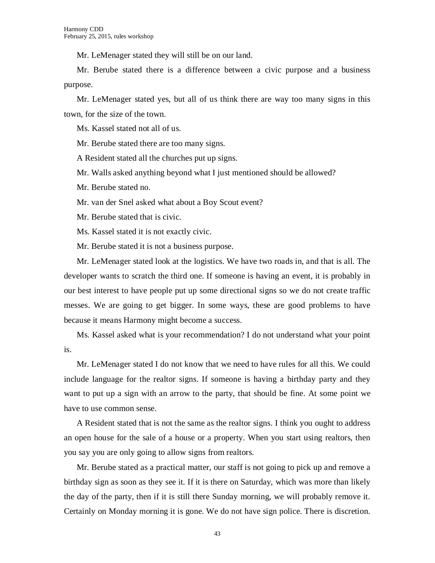Mr. LeMenager stated they will still be on our land.

Mr. Berube stated there is a difference between a civic purpose and a business purpose.

Mr. LeMenager stated yes, but all of us think there are way too many signs in this town, for the size of the town.

Ms. Kassel stated not all of us.

Mr. Berube stated there are too many signs.

A Resident stated all the churches put up signs.

Mr. Walls asked anything beyond what I just mentioned should be allowed?

Mr. Berube stated no.

Mr. van der Snel asked what about a Boy Scout event?

Mr. Berube stated that is civic.

Ms. Kassel stated it is not exactly civic.

Mr. Berube stated it is not a business purpose.

Mr. LeMenager stated look at the logistics. We have two roads in, and that is all. The developer wants to scratch the third one. If someone is having an event, it is probably in our best interest to have people put up some directional signs so we do not create traffic messes. We are going to get bigger. In some ways, these are good problems to have because it means Harmony might become a success.

Ms. Kassel asked what is your recommendation? I do not understand what your point is.

Mr. LeMenager stated I do not know that we need to have rules for all this. We could include language for the realtor signs. If someone is having a birthday party and they want to put up a sign with an arrow to the party, that should be fine. At some point we have to use common sense.

A Resident stated that is not the same as the realtor signs. I think you ought to address an open house for the sale of a house or a property. When you start using realtors, then you say you are only going to allow signs from realtors.

Mr. Berube stated as a practical matter, our staff is not going to pick up and remove a birthday sign as soon as they see it. If it is there on Saturday, which was more than likely the day of the party, then if it is still there Sunday morning, we will probably remove it. Certainly on Monday morning it is gone. We do not have sign police. There is discretion.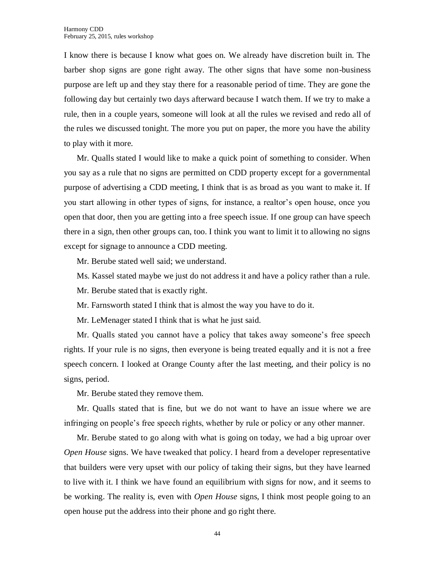I know there is because I know what goes on. We already have discretion built in. The barber shop signs are gone right away. The other signs that have some non-business purpose are left up and they stay there for a reasonable period of time. They are gone the following day but certainly two days afterward because I watch them. If we try to make a rule, then in a couple years, someone will look at all the rules we revised and redo all of the rules we discussed tonight. The more you put on paper, the more you have the ability to play with it more.

Mr. Qualls stated I would like to make a quick point of something to consider. When you say as a rule that no signs are permitted on CDD property except for a governmental purpose of advertising a CDD meeting, I think that is as broad as you want to make it. If you start allowing in other types of signs, for instance, a realtor's open house, once you open that door, then you are getting into a free speech issue. If one group can have speech there in a sign, then other groups can, too. I think you want to limit it to allowing no signs except for signage to announce a CDD meeting.

Mr. Berube stated well said; we understand.

Ms. Kassel stated maybe we just do not address it and have a policy rather than a rule.

Mr. Berube stated that is exactly right.

Mr. Farnsworth stated I think that is almost the way you have to do it.

Mr. LeMenager stated I think that is what he just said.

Mr. Qualls stated you cannot have a policy that takes away someone's free speech rights. If your rule is no signs, then everyone is being treated equally and it is not a free speech concern. I looked at Orange County after the last meeting, and their policy is no signs, period.

Mr. Berube stated they remove them.

Mr. Qualls stated that is fine, but we do not want to have an issue where we are infringing on people's free speech rights, whether by rule or policy or any other manner.

Mr. Berube stated to go along with what is going on today, we had a big uproar over *Open House* signs. We have tweaked that policy. I heard from a developer representative that builders were very upset with our policy of taking their signs, but they have learned to live with it. I think we have found an equilibrium with signs for now, and it seems to be working. The reality is, even with *Open House* signs, I think most people going to an open house put the address into their phone and go right there.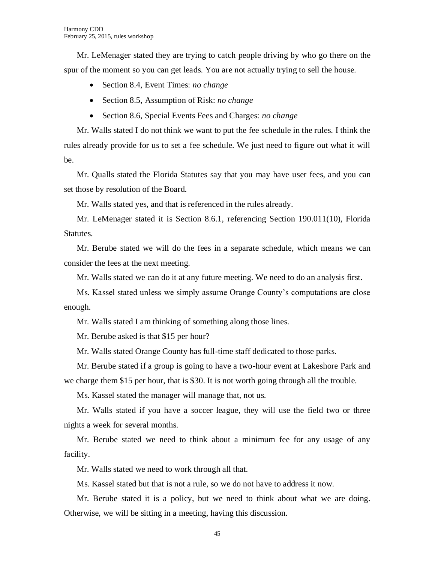Mr. LeMenager stated they are trying to catch people driving by who go there on the spur of the moment so you can get leads. You are not actually trying to sell the house.

- Section 8.4, Event Times: *no change*
- Section 8.5, Assumption of Risk: *no change*
- Section 8.6, Special Events Fees and Charges: *no change*

Mr. Walls stated I do not think we want to put the fee schedule in the rules. I think the rules already provide for us to set a fee schedule. We just need to figure out what it will be.

Mr. Qualls stated the Florida Statutes say that you may have user fees, and you can set those by resolution of the Board.

Mr. Walls stated yes, and that is referenced in the rules already.

Mr. LeMenager stated it is Section 8.6.1, referencing Section 190.011(10), Florida Statutes.

Mr. Berube stated we will do the fees in a separate schedule, which means we can consider the fees at the next meeting.

Mr. Walls stated we can do it at any future meeting. We need to do an analysis first.

Ms. Kassel stated unless we simply assume Orange County's computations are close enough.

Mr. Walls stated I am thinking of something along those lines.

Mr. Berube asked is that \$15 per hour?

Mr. Walls stated Orange County has full-time staff dedicated to those parks.

Mr. Berube stated if a group is going to have a two-hour event at Lakeshore Park and we charge them \$15 per hour, that is \$30. It is not worth going through all the trouble.

Ms. Kassel stated the manager will manage that, not us.

Mr. Walls stated if you have a soccer league, they will use the field two or three nights a week for several months.

Mr. Berube stated we need to think about a minimum fee for any usage of any facility.

Mr. Walls stated we need to work through all that.

Ms. Kassel stated but that is not a rule, so we do not have to address it now.

Mr. Berube stated it is a policy, but we need to think about what we are doing. Otherwise, we will be sitting in a meeting, having this discussion.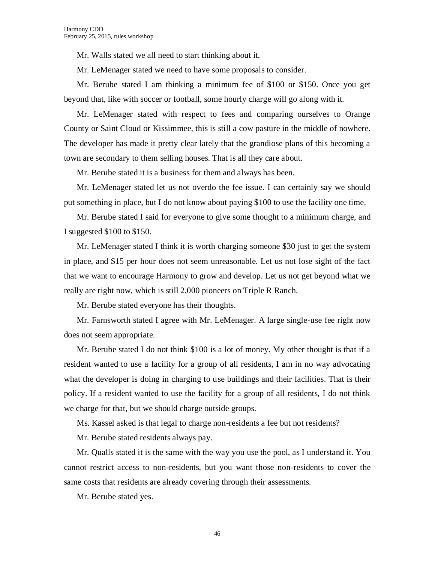Mr. Walls stated we all need to start thinking about it.

Mr. LeMenager stated we need to have some proposals to consider.

Mr. Berube stated I am thinking a minimum fee of \$100 or \$150. Once you get beyond that, like with soccer or football, some hourly charge will go along with it.

Mr. LeMenager stated with respect to fees and comparing ourselves to Orange County or Saint Cloud or Kissimmee, this is still a cow pasture in the middle of nowhere. The developer has made it pretty clear lately that the grandiose plans of this becoming a town are secondary to them selling houses. That is all they care about.

Mr. Berube stated it is a business for them and always has been.

Mr. LeMenager stated let us not overdo the fee issue. I can certainly say we should put something in place, but I do not know about paying \$100 to use the facility one time.

Mr. Berube stated I said for everyone to give some thought to a minimum charge, and I suggested \$100 to \$150.

Mr. LeMenager stated I think it is worth charging someone \$30 just to get the system in place, and \$15 per hour does not seem unreasonable. Let us not lose sight of the fact that we want to encourage Harmony to grow and develop. Let us not get beyond what we really are right now, which is still 2,000 pioneers on Triple R Ranch.

Mr. Berube stated everyone has their thoughts.

Mr. Farnsworth stated I agree with Mr. LeMenager. A large single-use fee right now does not seem appropriate.

Mr. Berube stated I do not think \$100 is a lot of money. My other thought is that if a resident wanted to use a facility for a group of all residents, I am in no way advocating what the developer is doing in charging to use buildings and their facilities. That is their policy. If a resident wanted to use the facility for a group of all residents, I do not think we charge for that, but we should charge outside groups.

Ms. Kassel asked is that legal to charge non-residents a fee but not residents?

Mr. Berube stated residents always pay.

Mr. Qualls stated it is the same with the way you use the pool, as I understand it. You cannot restrict access to non-residents, but you want those non-residents to cover the same costs that residents are already covering through their assessments.

Mr. Berube stated yes.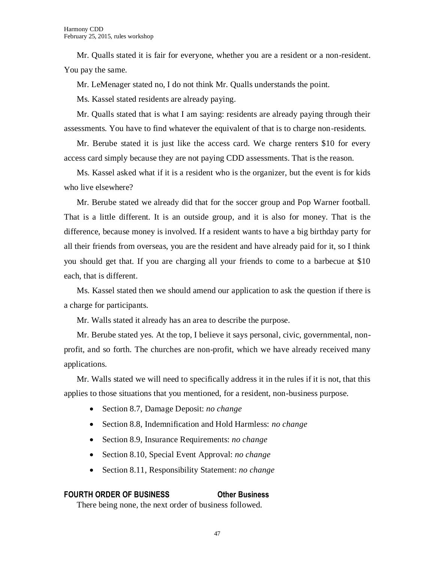Mr. Qualls stated it is fair for everyone, whether you are a resident or a non-resident. You pay the same.

Mr. LeMenager stated no, I do not think Mr. Qualls understands the point.

Ms. Kassel stated residents are already paying.

Mr. Qualls stated that is what I am saying: residents are already paying through their assessments. You have to find whatever the equivalent of that is to charge non-residents.

Mr. Berube stated it is just like the access card. We charge renters \$10 for every access card simply because they are not paying CDD assessments. That is the reason.

Ms. Kassel asked what if it is a resident who is the organizer, but the event is for kids who live elsewhere?

Mr. Berube stated we already did that for the soccer group and Pop Warner football. That is a little different. It is an outside group, and it is also for money. That is the difference, because money is involved. If a resident wants to have a big birthday party for all their friends from overseas, you are the resident and have already paid for it, so I think you should get that. If you are charging all your friends to come to a barbecue at \$10 each, that is different.

Ms. Kassel stated then we should amend our application to ask the question if there is a charge for participants.

Mr. Walls stated it already has an area to describe the purpose.

Mr. Berube stated yes. At the top, I believe it says personal, civic, governmental, nonprofit, and so forth. The churches are non-profit, which we have already received many applications.

Mr. Walls stated we will need to specifically address it in the rules if it is not, that this applies to those situations that you mentioned, for a resident, non-business purpose.

- Section 8.7, Damage Deposit: *no change*
- Section 8.8, Indemnification and Hold Harmless: *no change*
- Section 8.9, Insurance Requirements: *no change*
- Section 8.10, Special Event Approval: *no change*
- Section 8.11, Responsibility Statement: *no change*

#### **FOURTH ORDER OF BUSINESS Other Business**

There being none, the next order of business followed.